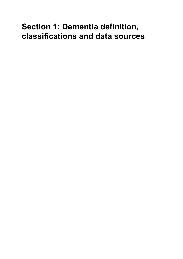# **Section 1: Dementia definition, classifications and data sources**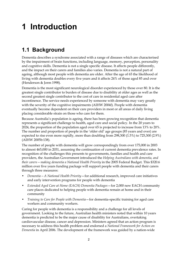# **1 Introduction**

# **1.1 Background**

Dementia describes a syndrome associated with a range of diseases which are characterised by the impairment of brain functions, including language, memory, perception, personality and cognitive skills. Dementia is not a single specific disease. It affects people differently, and the impact on their carers and families also varies. Dementia is not a natural part of ageing, although most people with dementia are older. After the age of 65 the likelihood of living with dementia doubles every five years and it affects 24% of those aged 85 and over (Henderson & Jorm 1998).

Dementia is the most significant neurological disorder experienced by those over 80. It is the greatest single contributor to burden of disease due to disability at older ages as well as the second greatest single contributor to the cost of care in residential aged care after incontinence. The service needs experienced by someone with dementia may vary greatly with the severity of the cognitive impairments (AIHW 2004f). People with dementia eventually become dependent on their care providers in most or all areas of daily living placing considerable strain on those who care for them.

Because Australia's population is ageing, there has been growing recognition that dementia represents a significant challenge to health, aged care and social policy. In the 20 years to 2024, the proportion of the population aged over 65 is projected to increase from 13% to 20%. The number and proportion of people in the 'older old' age groups (85 years and over) are expected to rise even more rapidly, more than doubling from 298,300 (1.5%) to 725,300 (2.9%) (AIHW 2005b:138).

The number of people with dementia will grow correspondingly from over 175,000 in 2003 to almost 465,000 in 2031, assuming the continuation of current dementia prevalence rates. In recognition of the challenges this presents to governments, families and health and care providers, the Australian Government introduced the *Helping Australians with dementia, and their carers—making dementia a National Health Priority* in the 2005 Federal Budget. This \$320.6 million over five years funding package will support people with dementia and their carers through three measures:

- *Dementia—A National Health Priority*—for additional research, improved care initiatives and early intervention programs for people with dementia
- *Extended Aged Care at Home (EACH) Dementia Packages*—for 2,000 new EACH community care places dedicated to helping people with dementia remain at home and in their community
- *Training to Care for People with Dementia*—for dementia-specific training for aged care workers and community workers.

Caring for people with dementia is a responsibility and a challenge for all levels of government. Looking to the future, Australian health ministers noted that within 10 years dementia is predicted to be the major cause of disability for Australians, overtaking cardiovascular disease, cancer and depression. Ministers agreed that an action program is necessary to address this health problem and endorsed a *National Framework for Action on Dementia* in April 2006. The development of the framework was guided by a nation-wide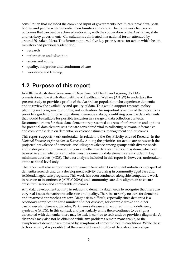consultation that included the combined input of governments, health care providers, peak bodies, and people with dementia, their families and carers. The framework focuses on outcomes that can best be achieved nationally, with the cooperation of the Australian, state and territory governments. Consultations culminated in a national forum attended by around 70 stakeholders. This forum supported five key priority areas for action which health ministers had previously identified:

- research
- information and education
- access and equity
- quality, integration and continuum of care
- workforce and training.

# **1.2 Purpose of this report**

In 2004 the Australian Government Department of Health and Ageing (DoHA) commissioned the Australian Institute of Health and Welfare (AIHW) to undertake the present study to provide a profile of the Australian population who experience dementia and to review the availability and quality of data. This would support research, policy planning and program monitoring and evaluation. An important objective of the report is to provide a guide for improving national dementia data by identifying possible data elements that would be suitable for possible inclusion in a range of data collection contexts. Recommendations for these data elements are presented as areas of information and options for potential data element sets that are considered vital to collecting relevant, informative and comparable data on dementia prevalence estimates, management and outcomes.

This report supports work undertaken in relation to the Key Priority Area of Research in the *National Framework for Action on Dementia*. Among the priorities for action are to research the projected prevalence of dementia, including prevalence among groups with diverse needs, and to design and implement uniform and effective data standards and systems which can be used in all jurisdictions and which ensure dementia data elements are included in key minimum data sets (MDS). The data analysis included in this report is, however, undertaken at the national level only.

The report will also support and complement Australian Government initiatives in respect of dementia research and data development activity occurring in community aged care and residential aged care programs. This work has been conducted alongside comparable work in relation to incontinence (AIHW 2006a) and community care data alignment to ensure cross-fertilisation and comparable outcomes.

Any data development activity in relation to dementia data needs to recognise that there are very real issues that affect its collection and quality. There is currently no cure for dementia and treatment approaches are few. Diagnosis is difficult, especially since dementia is a secondary complication for a number of other diseases, for example stroke and other cardiovascular diseases, diabetes, Parkinson's disease and acquired immunodeficiency syndrome (AIDS). In this context, and particularly while there continues to be stigma associated with dementia, there may be little incentive to seek and/or provide a diagnosis. A diagnosis may also not be obtained while any problems remain manageable, or the symptoms of dementia are masked by symptoms of comorbid health conditions. While these factors remain, it is possible that the availability and quality of data about early stage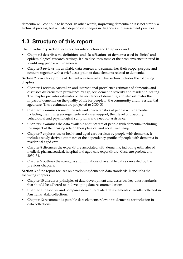dementia will continue to be poor. In other words, improving dementia data is not simply a technical process, but will also depend on changes in diagnosis and assessment practices.

# **1.3 Structure of this report**

The **introductory section** includes this introduction and Chapters 2 and 3:

- Chapter 2 describes the definitions and classifications of dementia used in clinical and epidemiological research settings. It also discusses some of the problems encountered in identifying people with dementia.
- Chapter 3 reviews the available data sources and summarises their scope, purpose and content, together with a brief description of data elements related to dementia.

**Section 2** provides a profile of dementia in Australia. This section includes the following chapters:

- Chapter 4 reviews Australian and international prevalence estimates of dementia, and discusses differences in prevalence by age, sex, dementia severity and residential setting. The chapter provides estimates of the incidence of dementia, and also estimates the impact of dementia on the quality of life for people in the community and in residential aged care. These estimates are projected to 2030–31.
- Chapter 5 examines some of the relevant characteristics of people with dementia, including their living arrangements and carer support, their level of disability, behavioural and psychological symptoms and need for assistance.
- Chapter 6 examines the data available about carers of people with dementia, including the impact of their caring role on their physical and social wellbeing.
- Chapter 7 explores use of health and aged care services by people with dementia. It includes newly derived estimates of the dependency profile of people with dementia in residential aged care.
- Chapter 8 discusses the expenditure associated with dementia, including estimates of medical, pharmaceutical, hospital and aged care expenditure. Costs are projected to 2030–31.
- Chapter 9 outlines the strengths and limitations of available data as revealed by the previous chapters.

**Section 3** of the report focuses on developing dementia data standards. It includes the following chapters:

- Chapter 10 discusses principles of data development and describes key data standards that should be adhered to in developing data recommendations.
- Chapter 11 describes and compares dementia-related data elements currently collected in Australian data collections.
- Chapter 12 recommends possible data elements relevant to dementia for inclusion in data collections.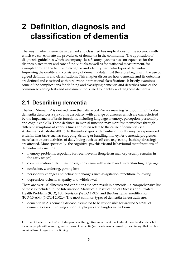# **2 Definition, diagnosis and classification of dementia**

The way in which dementia is defined and classified has implications for the accuracy with which we can estimate the prevalence of dementia in the community. The application of diagnostic guidelines which accompany classificatory systems has consequences for the diagnosis, treatment and care of individuals as well as for statistical measurement, for example through the failure to recognise and identify particular types of dementia. Improving the quality and consistency of dementia data must therefore begin with the use of agreed definitions and classifications. This chapter discusses how dementia and its outcomes are defined and classified within relevant international classifications. It briefly examines some of the complications for defining and classifying dementia and describes some of the common screening tests and assessment tools used to identify and diagnose dementia.

# **2.1 Describing dementia**

The term 'dementia' is derived from the Latin word *demens* meaning 'without mind'. Today, dementia describes a syndrome associated with a range of diseases which are characterised by the impairment of brain functions, including language, memory, perception, personality and cognitive skills. These declines<sup>1</sup> in mental function may manifest themselves through different symptoms at various times and often relate to the cause of dementia (see Alzheimer's Australia 2005b). In the early stages of dementia, difficulty may be experienced with familiar tasks such as shopping, driving or handling money. As dementia progresses, more basic or core activities of daily living such as self-care (e.g. eating, bathing, dressing) are affected. More specifically, the cognitive, psychiatric and behavioural manifestations of dementia may include:

- memory problems, especially for recent events (long-term memory usually remains in the early stages)
- communication difficulties through problems with speech and understanding language
- confusion, wandering, getting lost

 $\overline{a}$ 

- personality changes and behaviour changes such as agitation, repetition, following
- depression, delusions, apathy and withdrawal.

There are over 100 illnesses and conditions that can result in dementia—a comprehensive list of these is included in the International Statistical Classification of Diseases and Related Health Problems (ICD), 10th Revision (WHO 1992a) and the Australian modification (ICD-10-AM) (NCCH 2002b). The most common types of dementia in Australia are:

• dementia in Alzheimer's disease, estimated to be responsible for around 50–70% of dementia cases, involving abnormal plaques and tangles in the brain.

<sup>1</sup> Use of the term 'decline' excludes people with cognitive impairment due to developmental disorders, but includes people with non-progressive forms of dementia (such as dementia caused by head injury) that involve an initial loss of cognitive functioning.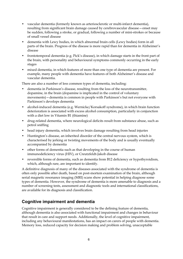- vascular dementia (formerly known as arteriosclerotic or multi-infarct dementia), resulting from significant brain damage caused by cerebrovascular disease—onset may be sudden, following a stroke, or gradual, following a number of mini-strokes or because of small vessel disease
- dementia with Lewy bodies, in which abnormal brain cells (Lewy bodies) form in all parts of the brain. Progress of the disease is more rapid than for dementia in Alzheimer's disease
- frontotemporal dementia (e.g. Pick's disease), in which damage starts in the front part of the brain, with personality and behavioural symptoms commonly occurring in the early stages
- mixed dementia, in which features of more than one type of dementia are present. For example, many people with dementia have features of both Alzheimer's disease and vascular dementia.

There are also a number of less common types of dementia, including:

- dementia in Parkinson's disease, resulting from the loss of the neurotransmitter, dopamine, in the brain (dopamine is implicated in the control of voluntary movements)—dementia is common in people with Parkinson's but not everyone with Parkinson's develops dementia
- alcohol-induced dementia (e.g. Wernicke/Korsakoff syndrome), in which brain function deterioration is associated with excess alcohol consumption, particularly in conjunction with a diet low in Vitamin B1 (thiamine)
- drug-related dementia, where neurological deficits result from substance abuse, such as petrol sniffing
- head injury dementia, which involves brain damage resulting from head injuries
- Huntington's disease, an inherited disorder of the central nervous system, which is characterised by jerking or twisting movements of the body and is usually eventually accompanied by dementia
- other forms of dementia such as that developing in the course of human immunodeficiency virus (HIV), or Creutzfeldt-Jakob disease
- reversible forms of dementia, such as dementia from B12 deficiency or hypothyroidism, which, although rare, are important to identify.

A definitive diagnosis of many of the diseases associated with the syndrome of dementia is often only possible after death, based on post-mortem examination of the brain, although serial magnetic resonance imaging (MRI) scans show potential in helping diagnose some types of dementia. However, the syndrome of dementia is more amenable to diagnosis and a number of screening tests, assessment and diagnostic tools and international classifications, are available for its diagnosis and classification.

## **Cognitive impairment and dementia**

Cognitive impairment is generally considered to be the defining feature of dementia, although dementia is also associated with functional impairment and changes in behaviour that result in care and support needs. Additionally, the level of cognitive impairment, including any behavioural manifestations, has an impact on carers of people with dementia. Memory loss, reduced capacity for decision making and problem solving, unacceptable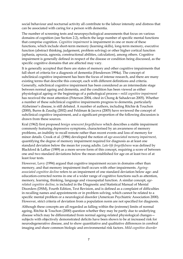social behaviour and nocturnal activity all contribute to the labour intensity and distress that can be associated with caring for a person with dementia.

The number of screening tests and neuropsychological assessments that focus on various domains of cognition (see Section 2.2), reflects the large number of specific mental functions that comprise cognition. *Cognitive impairment* is impairment in one or more of these functions, which include short-term memory (learning skills), long-term memory, executive function (abstract thinking, judgement, problem solving) or other higher cortical function (aphasia, apraxia, agnosia, constructional abilities, calculation), among others. Cognitive impairment is generally defined in respect of the disease or condition being discussed, as the specific cognitive domains that are affected may vary.

It is generally accepted that there are states of memory and other cognitive impairments that fall short of criteria for a diagnosis of dementia (Henderson 1994a). The concept of subclinical cognitive impairment has been the focus of intense research, and there are many existing terms that describe this concept, each with different definitions and criteria. Generally, subclinical cognitive impairment has been considered as an intermediate stage between normal ageing and dementia, and the condition has been viewed as either physiological ageing or the beginnings of a pathological process—*mild cognitive impairment* has received the most attention (Peterson 2004, cited in Chong & Sahadevan 2005). Whether a number of these subclinical cognitive impairments progress to dementia, particularly Alzheimer's disease, is still debated. A number of authors, including Ritchie & Touchon (2000), Burns & Zaudig (2002) and Feldman & Jacova (2005) have reviewed the concept of subclinical cognitive impairment, and a significant proportion of the following discussion is drawn from these sources.

Kral (1962) first proposed *benign senescent forgetfulness* which describes a stable impairment commonly featuring depressive symptoms, characterised by an awareness of memory problems, an inability to recall remote rather than recent events and loss of memory for minor details. Crook et al. (1986) developed the notion of *age-associated memory impairment*, quantifying the degree of memory impairment required for diagnosis as at least one standard deviation below the mean for young adults. *Late-life forgetfulness* was defined by Blackford & LaRue (1989) as a more severe form of this concept, requiring a score of between one and two standard deviations below the mean established for age on at least two of at least four tests.

However, Levy (1994) argued that cognitive impairment occurs in domains other than memory, and that memory impairment itself occurs with other impairments. *Ageingassociated cognitive decline* refers to an impairment of one standard deviation below age- and education-corrected norms in one of a wider range of cognitive functions such as attention, memory, learning, thinking, language and visuospatial function. A similar concept, *agerelated cognitive decline*, is included in the Diagnostic and Statistical Manual of Mental Disorders (DSM), Fourth Edition, Text Revision, and is defined as a complaint of difficulties in recalling names and appointments or in problem solving, which cannot be related to a specific mental problem or a neurological disorder (American Psychiatric Association 2000). However, strict criteria of deviation from a population norm are not specified for diagnosis.

Although these concepts are all regarded as falling within the (extreme) limits of normal ageing, Ritchie & Touchon (2000) question whether they may be partly due to underlying disease which may be differentiated from normal ageing-related physiological changes subjects with objectively demonstrated deficits have been shown to be at increased risk for neurodegenerative disease, and to show quantitative and qualitative differences in cerebral imaging and share common biologic and environmental risk factors. *Mild cognitive disorder*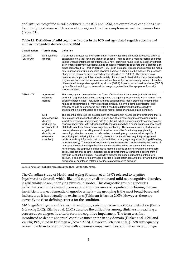and *mild neurocognitive disorder,* defined in the ICD and DSM, are examples of conditions due to underlying disease which occur at any age and involve symptoms as well as memory loss (Table 2.1).

| Table 2.1: Definition of mild cognitive disorder in the ICD and age-related cognitive decline and |  |
|---------------------------------------------------------------------------------------------------|--|
| mild neurocognitive disorder in the DSM                                                           |  |

| <b>Classification</b> | Terminology                                                                                                                 | <b>Definition</b>                                                                                                                                                                                                                                                                                                                                                                                                                                                                                                                                                                                                                                                                                                                                                                                                                                                                                                                                                                                                                                                                                                                                                                                                                                                                                                                                                                                                                                                                                                                                        |
|-----------------------|-----------------------------------------------------------------------------------------------------------------------------|----------------------------------------------------------------------------------------------------------------------------------------------------------------------------------------------------------------------------------------------------------------------------------------------------------------------------------------------------------------------------------------------------------------------------------------------------------------------------------------------------------------------------------------------------------------------------------------------------------------------------------------------------------------------------------------------------------------------------------------------------------------------------------------------------------------------------------------------------------------------------------------------------------------------------------------------------------------------------------------------------------------------------------------------------------------------------------------------------------------------------------------------------------------------------------------------------------------------------------------------------------------------------------------------------------------------------------------------------------------------------------------------------------------------------------------------------------------------------------------------------------------------------------------------------------|
| ICD-10 &<br>ICD-10-AM | Mild cognitive<br>disorder                                                                                                  | A disorder characterised by impairment of memory, learning difficulties & reduced ability to<br>concentrate on a task for more than brief periods. There is often a marked feeling of mental<br>fatigue when mental tasks are attempted, & new learning is found to be subjectively difficult<br>even when objectively successful. None of these symptoms is so severe that a diagnosis of<br>either dementia (F00–F03) or delirium (F05–) can be made. This diagnosis should be made<br>only in association with a specified physical disorder, & should not be made in the presence<br>of any of the mental or behavioural disorders classified to F10–F99. The disorder may<br>precede, accompany or follow a wide variety of infections & physical disorders, both cerebral<br>& systemic, but direct evidence of cerebral involvement is not necessarily present. It can be<br>differentiated from postencephalitic syndrome (F07.1) & post-concussional syndrome (F07.2)<br>by its different aetiology, more restricted range of generally milder symptoms & usually<br>shorter duration.                                                                                                                                                                                                                                                                                                                                                                                                                                                          |
| <b>DSM-IV-TR</b>      | Age-related<br>cognitive<br>decline                                                                                         | This category can be used when the focus of clinical attention is an objectively identified<br>decline in cognitive functioning consequent to the ageing process that is within normal limits<br>given the person's age. Individuals with this condition may report problems remembering<br>names or appointments or may experience difficulty in solving complex problems. This<br>category should be considered only after it has been determined that the cognitive<br>impairment is not attributable to a specific mental disorder or neurological condition.                                                                                                                                                                                                                                                                                                                                                                                                                                                                                                                                                                                                                                                                                                                                                                                                                                                                                                                                                                                        |
|                       | Mild<br>neurocognitive<br>disorder<br>(included as<br>an example of<br>cognitive<br>disorder not<br>otherwise<br>specified) | The essential feature is the development of impairment in neurocognitive functioning that is<br>due to a general medical condition. By definition, the level of cognitive impairment & the<br>impact on everyday functioning is mild (e.g. the individual is able to partially compensate for<br>cognitive impairment with additional effort). Individuals with this condition have a new onset<br>of deficits in at least two areas of cognitive functioning. These may include disturbances in<br>memory (learning or recalling new information), executive functioning (e.g. planning,<br>reasoning), attention or speed of information processing (e.g. concentration, rapidity of<br>assimilating or analysing information), perceptual motor abilities (e.g. integrating visual,<br>tactile or auditory information with motor activities) or language (e.g. word-finding difficulties,<br>reduced fluency). The report of cognitive impairment must be corroborated by the results of<br>neuropsychological testing or bedside standardised cognitive assessment techniques.<br>Furthermore, the cognitive deficits cause marked distress or interfere with the individual's<br>social, occupational or other important areas of functioning & represent a decline from a<br>previous level of functioning. The cognitive disturbance does not meet the criteria for a<br>delirium, a dementia, or an amnestic disorder & is not better accounted for by another mental<br>disorder (e.g. substance-related disorder, major depressive disorder). |

*Sources:* American Psychiatric Association 2000; NCCH 2002b; WHO 1992a.

The Canadian Study of Health and Aging (Graham et al. 1997) referred to *cognitive impairment no dementia* which, like mild cognitive disorder and mild neurocognitive disorder, is attributable to an underlying physical disorder. This diagnostic grouping includes individuals with problems of memory and/or other areas of cognitive functioning that are insufficient to meet dementia diagnostic criteria—the grouping is the most broad-based and inclusive, as it has virtually no exclusions (Feldman & Jacova 2005). However, there are currently no clear defining criteria for the condition.

*Mild cognitive impairment* is a term in evolution, seeking precise nosological definition (Burns & Zaudig 2002). Ritchie et al. (2001) describe the difficulties among clinicians in reaching a consensus on diagnostic criteria for mild cognitive impairment. The term was first introduced to denote abnormal cognitive functioning in any domain (Flicker et al. 1991 and Zaudig 1992, cited in Feldman & Jacova 2005). However, Petersen et al. (1999) subsequently refined the term to refer to those with a memory impairment beyond that expected for age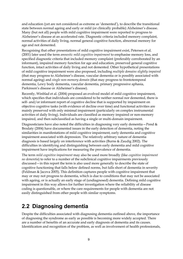and education (yet are not considered as extreme as 'demented'), to describe the transitional state between normal ageing and early or mild (or clinically probable) Alzheimer's disease. Many (but not all) people with mild cognitive impairment were reported to progress to Alzheimer's disease at an accelerated rate. Diagnostic criteria included memory complaint, normal activities of daily living, normal general cognitive function, abnormal memory for age and not demented.

Recognising that other presentations of mild cognitive impairment exist, Petersen et al. (2001) later used the term *amnestic mild cognitive impairment* to emphasise memory loss, and specified diagnostic criteria that included memory complaint (preferably corroborated by an informant), impaired memory function for age and education, preserved general cognitive function, intact activities of daily living and not demented. Other hypothetical presentations of mild cognitive impairment were also proposed, including *multiple domains slightly impaired* (that may progress to Alzheimer's disease, vascular dementia or is possibly associated with normal ageing) and *single non-memory domain* (that may progress to frontotemporal dementia, Lewy body dementia, vascular dementia, primary progressive aphasia, Parkinson's disease or Alzheimer's disease).

Recently, Winblad et al. (2004) proposed an evolved model of mild cognitive impairment, which specifies that individuals are considered to be neither normal nor demented, there is self- and/or informant report of cognitive decline that is supported by impairment on objective cognitive tasks (with evidence of decline over time) and functional activities are mainly preserved with only minimal impairment (particularly on complex instrumental activities of daily living). Individuals are classified as memory impaired or non-memory impaired, and then subclassified as having a single or multi-domain impairment.

Diagnosticians have also noted the difficulties in diagnosing very early dementia – Pond  $\&$ Brodaty (2004) have documented issues in the early detection of dementia, noting the similarities in manifestations of mild cognitive impairment, early dementia and cognitive impairment associated with depression. The relatively arbitrary nature of dementia diagnosis is based largely on interference with activities (Burns & Zaudig 2002). The difficulties in identifying and distinguishing between early dementia and mild cognitive impairment have implications for measuring the prevalence of dementia.

The term *mild cognitive impairment* may also be used more broadly (like *cognitive impairment no dementia*) to refer to a number of the subclinical cognitive impairments previously discussed—in this report the term is also used more generally to describe the state of cognitive functioning that falls below defined norms, but falls short of dementia in severity (Feldman & Jacova 2005). This definition captures people with cognitive impairment that may or may not progress to dementia, which is due to conditions that may not be associated with ageing, or is actually an early stage of (undiagnosed) dementia. Defining mild cognitive impairment in this way allows for further investigation where the reliability of disease coding is questionable, or where the care requirements for people with dementia are not easily distinguished from other people with similar symptoms.

# **2.2 Diagnosing dementia**

Despite the difficulties associated with diagnosing dementia outlined above, the importance of diagnosing the syndrome as early as possible is becoming more widely accepted. There are a number of benefits of an accurate and early diagnosis of dementia and its causes. Identification and recognition of the problem, as well as involvement of health professionals,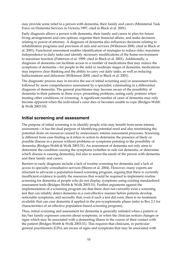may provide some relief to a person with dementia, their family and carers (Ministerial Task Force on Dementia Services in Victoria 1997, cited in Black et al. 2001).

Early diagnosis allows a person with dementia, their family and carers to plan for future living arrangements and care options, organise their financial affairs, and make decisions relating to power of attorney. A diagnosis of dementia also influences decisions relating to rehabilitation programs and provision of aids and services (Wilkinson 2000, cited in Black et al. 2001). Functional assessment enables identification of strategies to reduce risks, maximise independence in daily tasks and identify necessary modifications of the home environment to maximise function (Patterson et al. 1999, cited in Black et al. 2001). Additionally, a diagnosis of dementia can facilitate access to a number of medications that may reduce the symptoms of dementia—for people in the mild or moderate stages of dementia, medications may improve clear thinking and the ability to carry out daily tasks, as well as reducing hallucinations and delusions (Wilkinson 2000, cited in Black et al. 2001).

The diagnostic process may in involve the use of initial screening and/or assessment tools, followed by more comprehensive assessment by a specialist, culminating in a differential diagnosis of dementia. The general practitioner may become aware of the possibility of dementia in their patients in three ways: presenting problems, noting early pointers when treating other conditions, or screening. A significant number of cases of dementia may only become apparent when the individual's carer dies or becomes unable to cope (Bridges-Webb & Wolk 2003:10).

### **Initial screening and assessment**

The purpose of initial screening is to identify people who may benefit from more intense assessment—it has the dual purpose of identifying potential need and also minimising the potential drain on resources caused by unnecessary intense assessment processes. Screening is different from case-finding as it refers to action to determine the presence of likely or possible disease in a person without problems or symptoms pointing to the possibility of dementia (Bridges-Webb & Wolk 2003:31). An assessment of dementia not only aims to determine the condition causing the symptoms (whether to rule out dementia, or determine which disease is causing dementia), but also to assess the needs of the person with dementia and their family and carers.

Barriers to early diagnosis include a lack of routine screening for dementia and a lack of access to specialty consultative services (Shores et al. 2004). However, many experts are reluctant to advocate a population-based screening program, arguing that there is currently insufficient evidence to justify the resources that would be required to implement routine screening for dementia of people who do not display symptoms using existing standardised assessment tools (Bridges-Webb & Wolk 2003:31). Further arguments against the implementation of a screening program are that there does not currently exist a screening test that can reliably detect dementia in a cost-effective manner before patients develop noticeable symptoms, and secondly that, even if such a test did exist, there is no treatment available that can cure dementia if applied in the pre-symptomatic phase (refer to Box 2.1 for characteristics of an effective population-based screening program).

Thus, initial screening and assessment for dementia is generally initiated when a patient or his/her family expresses concern about symptoms, or when the clinician notices changes or signs which may be associated with a dementing illness in the course of their contact with the patient (Bridges-Webb & Wolk 2003:31). This requires that clinicians, in particular general practitioners (GPs), are aware of signs and symptoms that may be associated with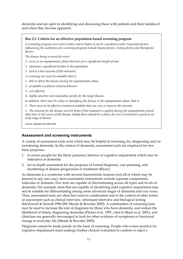dementia and are open to identifying and discussing these with patients and their families if and when they become apparent.

#### **Box 2.1: Criteria for an effective population-based screening program**

*A screening program must meet certain criteria before it can be considered useful. Important factors influencing the usefulness of a screening program include disease factors, testing factors and therapeutic factors.* 

*The disease being screened for must:* 

- *1. occur in an asymptomatic phase that lasts for a significant length of time*
- *2. represent a significant burden to the population*
- *3. lead to a bad outcome if left untreated.*
- *A screening test must be available that is:*
- *1. able to detect the disease during the asymptomatic phase*
- *2. acceptable to patients and practitioners*
- *3. cost-effective*
- *4. highly sensitive and reasonably specific for the target disease.*

*In addition, there must be value in identifying the disease in the asymptomatic phase, that is:* 

*1. There must be an effective treatment available that can cure or improve the outcome.* 

*2. The outcome for the disease must be better if the treatment is applied during the asymptomatic period than later in the course of the disease. Ideally there should be a chance for cure if treatment is given at an early stage of disease.* 

*Source:* Adapted from IAM 2006.

#### **Assessment and screening instruments**

A variety of assessment tools exist which may be helpful in screening for, diagnosing and/or monitoring dementia. In the context of dementia, assessment tools are employed for two basic purposes:

- 1. to screen people for the likely presence/absence of cognitive impairment which may be indicative of dementia
- 2. for in-depth assessment for the purposes of formal diagnosis, care planning, and monitoring of disease progression or treatment efficacy.

As dementia is a syndrome with several characteristic features (not all of which may be present in any one case), most assessment instruments include separate components, subscales or domains. Few tests are capable of discriminating across all types and levels of dementia. For example, tests that are capable of identifying mild cognitive impairment may not be suitable for differentiating among more advanced stages of dementia and vice versa. Thus, assessment tools are often best used in combination and in the context of other forms of assessment such as clinical interview, informant interview and biological testing (McDowell & Newell 1996:289; Meade & Bowden 2005). A combination of screening tests may be used to increase the rate of diagnosis for those who have dementia, and reduce the likelihood of falsely diagnosing dementia (Flicker et al. 1997, cited in Black et al. 2001), and clinicians are generally encouraged to look for other evidence of symptoms or functional change in everyday life (Meade & Bowden 2005).

Diagnosis cannot be made purely on the basis of screening. People who screen positive for cognitive impairment must undergo further clinical evaluation to confirm or reject a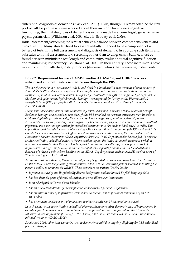differential diagnosis of dementia (Black et al. 2001). Thus, though GPs may often be the first port of call for people who are worried about their own or a loved one's cognitive functioning, the final diagnosis of dementia is usually made by a neurologist, geriatrician or psychogeriatrician (Wilkinson et al. 2004, cited in Brodaty et al. 2006).

Initial assessment/screening tools must achieve a balance between comprehensiveness and clinical utility. Many standardised tools were initially intended to be a component of a battery of tests in the full assessment and diagnosis of dementia. In applying such items and subscales to initial assessment and screening rather than to diagnosis, a balance must be found between minimising test length and complexity, evaluating total cognitive function and maintaining test accuracy (Boustani et al. 2003). In their entirety, these instruments have more in common with diagnostic protocols (discussed below) than screening instruments.

#### **Box 2.2: Requirement for use of MMSE and/or ADAS-Cog and CIBIC to access subsidised anticholinesterase medication through the PBS**

*The use of some standard assessment tools is enshrined in administrative requirements of some aspects of Australia's health and aged care systems. For example, some anticholinesterase medication used in the treatment of mild to moderate dementia, donepezil hydrochloride (Aricept), rivastigmine hydrogen tartate (Exelon), and galantamine hydrobromide (Remilyn), are approved for listing on the Pharmaceutical Benefits Scheme (PBS) for people with Alzheimer's disease who meet specific criteria (Alzheimer's Australia 2004).* 

*People who have a diagnosis of mild to moderately severe Alzheimer's disease are able to access Aricept, Exelon or Remilyn at a subsidised cost through the PBS provided that certain criteria are met. In order to establish eligibility for this subsidy, the client must have a diagnosis of mild to moderately severe Alzheimer's disease confirmed by a neurologist, psychogeriatrician, psychiatrist, geriatrician or consultant physician, and a written application for subsidised treatment must be made to Medicare Australia. This application must include the results of a baseline Mini-Mental State Examination (MMSE) test, and to be eligible the client must score 10 or higher, and if the score is 25 points or above, the results of a baseline Alzheimer's Disease Assessment Scale, cognitive subscale (ADAS-Cog), must also be specified. In order to receive continuing subsidised access to the medication beyond the initial six month treatment period, it must be demonstrated that the client has benefited from the pharmacotherapy. The requisite proof of improvement in cognitive function is an increase of at least 2 points from baseline on the MMSE or a decrease of at least 4 points from baseline on the ADAS-Cog for patients with an MMSE baseline score of 25 points or higher (DoHA 2006).* 

*Access to subsidised Aricept, Exelon or Remilyn may be granted to people who score lower than 10 points on the MMSE under the following circumstances, which are non-cognitive factors accepted as limiting the person's ability to complete the MMSE. These are where the patient (DoHA 2006):* 

- *is from a culturally and linguistically diverse background and has limited English language skills*
- *has less than six years of formal education, and/or is illiterate or innumerate*
- *is an Aboriginal or Torres Strait Islander*
- *has an intellectual disability (developmental or acquired), e.g. Down's syndrome*
- *has significant sensory impairment, despite best correction, which precludes completion of an MMSE test and/or*
- *has prominent dysphasia, out of proportion to other cognitive and functional impairment.*

*In such cases, access to continuing subsidised pharmacotherapy requires demonstration of improvement in cognitive function, based on a rating of 'very much improved' or 'much improved' on the Clinician's Interview-Based Impression of Change (CIBIC) scale, which must be completed by the same clinician who initiated treatment (DoHA 2006).* 

*As at April 2006, other tests cannot be used to demonstrate initial or ongoing eligibility for PBS-subsidised pharmacotherapy.*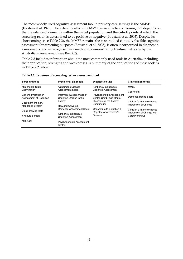The most widely used cognitive assessment tool in primary care settings is the MMSE (Folstein et al. 1975). The extent to which the MMSE is an effective screening tool depends on the prevalence of dementia within the target population and the cut-off points at which the screening result is determined to be positive or negative (Boustani et al. 2003). Despite its shortcomings (see Table 2.3), the MMSE remains the best-studied clinically feasible cognitive assessment for screening purposes (Boustani et al. 2003), is often incorporated in diagnostic assessments, and is recognised as a method of demonstrating treatment efficacy by the Australian Government (see Box 2.2).

Table 2.3 includes information about the most commonly used tools in Australia, including their application, strengths and weaknesses. A summary of the applications of these tools is in Table 2.2 below.

| <b>Screening test</b>                                  | <b>Provisional diagnosis</b>                           | Diagnostic suite                                      | <b>Clinical monitoring</b>                               |  |
|--------------------------------------------------------|--------------------------------------------------------|-------------------------------------------------------|----------------------------------------------------------|--|
| Mini-Mental State<br>Examination                       | Alzheimer's Disease<br>Assessment Scale                | Kimberley Indigenous<br><b>Cognitive Assessment</b>   | MMSE<br>CogHealth                                        |  |
| <b>General Practitioner</b><br>Assessment of Cognition | Informant Questionnaire of<br>Cognitive Decline in the | Psychogeriatric Assessment<br>Scales Cambridge Mental | Dementia Rating Scale                                    |  |
| CogHealth Memory<br><b>Monitoring System</b>           | Elderly<br>Rowland Universal                           | Disorders of the Elderly<br>Examination               | Clinician's Interview-Based<br>Impression of Change      |  |
| Clock drawing tests                                    | Dementia Assessment Scale                              | Consortium to Establish a<br>Registry for Alzheimer's | Clinician's Interview-Based<br>Impression of Change with |  |
| 7 Minute Screen                                        | Kimberley Indigenous<br><b>Cognitive Assessment</b>    | Disease                                               | Caregiver Input                                          |  |
| Mini-Cog                                               | Psychogeriatric Assessment<br><b>Scales</b>            |                                                       |                                                          |  |

|  |  | Table 2.2: Type/use of screening test or assessment tool |
|--|--|----------------------------------------------------------|
|  |  |                                                          |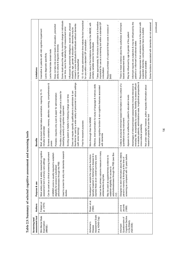| assessment tool<br>Screening test/                                               | Authors                    | Purpose & use                                                                                                                                                                                                                                                                                                                                                      | Benefits                                                                                                                                                                                                                                                                                                                                                                                                                                                                                                                                                                                              | Limitations                                                                                                                                                                                                                                                                                                                                                                                                                                                                                                                                                                                                                                                                             |
|----------------------------------------------------------------------------------|----------------------------|--------------------------------------------------------------------------------------------------------------------------------------------------------------------------------------------------------------------------------------------------------------------------------------------------------------------------------------------------------------------|-------------------------------------------------------------------------------------------------------------------------------------------------------------------------------------------------------------------------------------------------------------------------------------------------------------------------------------------------------------------------------------------------------------------------------------------------------------------------------------------------------------------------------------------------------------------------------------------------------|-----------------------------------------------------------------------------------------------------------------------------------------------------------------------------------------------------------------------------------------------------------------------------------------------------------------------------------------------------------------------------------------------------------------------------------------------------------------------------------------------------------------------------------------------------------------------------------------------------------------------------------------------------------------------------------------|
| Mini-Mental State<br>Examination<br>(MMSE)                                       | Folstein et<br>al. (1975)  | Most widely used & widely researched cognitive<br>Used to screen for entry into dementia research<br>Can be used as a clinical screening instrument<br>A MMSE score is usually required to establish<br>assessment tool in primary care settings<br>anticholinesterases through the PBS<br>eligibility for access to subsidised<br>studies                         | therefore be used by a wide variety of personnel in various settings<br>Screens orientation, memory, attention, naming, comprehension &<br>Brief, structured mental status examination, requiring 10-15<br>Does not require specific qualifications to administer & can<br>Provides a unitary score which is often used as a basis for<br>Portable—requires only a pen & paper for administration<br>Scoring system is helpful in following change over time<br>classifying severity of cognitive impairment<br>Free for research purposes<br>minutes to administer<br>(with some training)<br>praxis | Some doubt about the ability to monitor change in individuals<br>10-15 minutes administration time makes the tool impractical<br>Influenced by premorbid intelligence, social class, physical<br>missed in some individuals & individuals without dementia<br>Does not take into account levels of education, premorbid<br>over time, due to the relatively high measurement error<br>disability, age, gender & education-dementia may be<br>Insensitive to patients with mild cognitive impairment<br>for use within a standard GP consultation<br>ability & cultural & linguistic diversity<br>Lacks frontal lobe domain tests<br>acks diagnostic specificity<br>may be misclassified |
| Assessment Scale<br>(e.g. ADAS-Cog)<br>Alzheimer's<br>Disease                    | Rosen et al<br>(1984)      | Used as the primary outcome measure in many<br>anticholinesterases through the PBS (see Box<br>8t<br>Developed to sample the cognitive functions<br>May be used as supplementary evidence to<br>express these as an overall summary score<br>typically impaired in Alzheimer's disease<br>establish eligibility for access to<br>antidementia drug trials<br>(2.2) | Effective, brief examination for study of language & memory skills<br>Assesses cognitive function & non-cognitive features associated<br>More thorough than the MMSE<br>with dementia                                                                                                                                                                                                                                                                                                                                                                                                                 | Takes approximately 30 minutes to administer & is therefore<br>impractical for use as a screening tool within a standard GP<br>Shares many of the limitations reported for the MMSE, with<br>Requires purchase of a special kit that costs in excess of<br>similarly variable scores for individuals<br>consultation<br>\$400                                                                                                                                                                                                                                                                                                                                                           |
| Cognitive Decline<br>Questionnaire of<br>in the Elderly<br>(IQCODE)<br>Informant | Jacomb<br>Jorm &<br>(1989) | Designed to elicit information about the elderly<br>screening as compared with 10 years before<br>person's memory & thinking at the time of                                                                                                                                                                                                                        | to-evaluate patients, administrative ease, longitudinal perspective &<br>everyday life, acceptability by subjects, flexibility to assess difficult-<br>Collects structured informant-based information in the context of a<br>Advantages of informant-based assessments include relevance to<br>Not under copyright; however, author requests information about<br>Appears to be unaffected by patient's education levels<br>research projects that use the tool<br>quantitative survey instrument<br>cross-cultural portability                                                                      | Informant reports are subjective & may be influenced by the<br>Requires responses from someone close to the person with<br>Some functions associated with dementia are not assessed<br>There is mixed evidence about the usefulness of informant-<br>suspected dementia-some patients have no suitable<br>May be influenced by age & gender of the patient<br>patient's or informant's emotional states<br>based assessment tools<br>informant available                                                                                                                                                                                                                                |

Table 2.3: Summary of selected cognitive assessment and screening tools **Table 2.3: Summary of selected cognitive assessment and screening tools**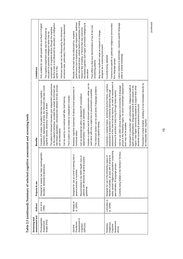Table 2.3 (continued): Summary of selected cognitive assessment and screening tools **Table 2.3 (continued): Summary of selected cognitive assessment and screening tools** 

| assessment tool<br>Screening test/                               | Authors                    | Purpose & use                                                                                                                                                                                                                          | Benefits                                                                                                                                                                                                                                                                                                                                                                                                                                                                                                                                                                                                                                                                                   | Limitations                                                                                                                                                                                                                                                                                                                                                                                                                                                                                               |
|------------------------------------------------------------------|----------------------------|----------------------------------------------------------------------------------------------------------------------------------------------------------------------------------------------------------------------------------------|--------------------------------------------------------------------------------------------------------------------------------------------------------------------------------------------------------------------------------------------------------------------------------------------------------------------------------------------------------------------------------------------------------------------------------------------------------------------------------------------------------------------------------------------------------------------------------------------------------------------------------------------------------------------------------------------|-----------------------------------------------------------------------------------------------------------------------------------------------------------------------------------------------------------------------------------------------------------------------------------------------------------------------------------------------------------------------------------------------------------------------------------------------------------------------------------------------------------|
| Psychogeriatric<br>Scales (PAS)<br>Assessment                    | Jorm et al.<br>(1995)      | Designed to assess two major psychogeriatric<br>disorders: dementia & depression                                                                                                                                                       | The patient & informant interviews give independent perspectives<br>interviewed separately-discrepancies between the two sources<br>impairment, depression & stroke; the informant interview covers<br>on the subject's behaviour, provided the subject & informant are<br>Consists of 6 scales: the patient interview covers cognitive<br>The 6 scales can be treated as independent modules<br>Can be used by non-medical staff after brief training<br>cognitive decline, behaviour change & stroke<br>can be informative                                                                                                                                                               | decline scale is not influenced by education or intelligence<br>Only suitable for use with people who are fluent in English<br>emotional state, particularly if the informant is depressed<br>symptomatic of cognitive decline (though the cognitive<br>Informant reports can be influenced by the informant's<br>The cognitive impairment scale may be influenced by<br>education & premorbid intelligence rather than be<br>earlier in life)                                                            |
| Assessment of<br>Practitioner<br>(GPCOG)<br>Cognition<br>General | Brodaty et<br>al. (2002)   | Designed for use as a brief screening tool in<br>Recommended in the NSW Health Care of<br>patients with dementia in general practice<br>general practice in Australia<br>guidelines                                                    | Includes a cognitive test & informant questionnaire—either can be<br>The informant section can be used alone if language problems<br>Assesses cognitive impairment & allows a brief assessment of<br>used alone with only a slight loss in psychometric properties<br>Can be administered within a standard GP consultation<br>(approximately 7 minutes to administer)<br>preclude cognitive testing<br>functional status                                                                                                                                                                                                                                                                  | poor educational level, cultural factors & awareness of being<br>performance due to dysphasia, sight impairment, deafness,<br>య<br>decreased cognition such higher pre-morbid intelligence<br>Floor effect so that poor discrimination of low & very low<br>tested or fear of testing; or factors that may overcome<br>May have insufficient range as measure of change;<br>Results of the test may be influenced by: impaired<br>designed as a screening instrument<br>functioning patients<br>education |
| Assessment<br>Indigenous<br>Kimberley<br>Cognitive<br>(KICA)     | LoGiudice et<br>al. (2006) | widely spread Indigenous population comprising<br>Currently being trialled in the Northern Territory<br>Designed for use in the Kimberley region of<br>Western Australia, an area with a diverse &<br>approximately 30 language groups | assessment of the client & family reports), as well as assessment of<br>groups in the Kimberley region, for whom mainstream assessment<br>Comprises a medical history, smoking & alcohol history, cognitive<br>Developed in conjunction with communities, Indigenous health &<br>Valid for use within various Indigenous communities & language<br>aged care organisations, language centres & older people in the<br>region-has higher community acceptance & support than other<br>assessment & assessment of emotional well-being (through<br>behaviour & activities of daily living (through family reports)<br>dementia screening & assessment protocols<br>tools may not be suitable | Labour-intensive to administer-requires specific language<br>Versions are specific to particular Indigenous communities<br>skills & cultural knowledge<br>Currently being validated<br>&/or language groups                                                                                                                                                                                                                                                                                               |
|                                                                  |                            |                                                                                                                                                                                                                                        | Presented in simple English, enabling it to be translated directly by<br>an interpreter when required                                                                                                                                                                                                                                                                                                                                                                                                                                                                                                                                                                                      |                                                                                                                                                                                                                                                                                                                                                                                                                                                                                                           |

15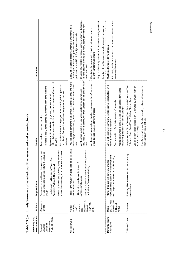| assessment tool<br>Screening test/ | Authors                                 | Purpose & use                                                                                                          | <b>Benefits</b>                                                                                                                                    | Limitations                                                                                                                                                         |
|------------------------------------|-----------------------------------------|------------------------------------------------------------------------------------------------------------------------|----------------------------------------------------------------------------------------------------------------------------------------------------|---------------------------------------------------------------------------------------------------------------------------------------------------------------------|
| Rowland                            | Storey et al.                           | Developed as a valid cognitive assessment tool                                                                         | Tests multiple cognitive domains                                                                                                                   |                                                                                                                                                                     |
| Dementia<br>Universal              | (2004)                                  | for use with people across cultural & language<br>groups                                                               | Portable & easily administered by primary health care clinicians                                                                                   |                                                                                                                                                                     |
| Scale (RUDAS)<br>Assessment        |                                         | Used clinically in New South Wales, South<br>Australia, Victoria & New Zealand                                         | differential performance factors, or preferred language (Rowland et<br>Appears not to be affected by gender, years of education,<br>al. 2006)      |                                                                                                                                                                     |
|                                    |                                         | Follow-up studies are currently being conducted<br>in New South Wales, South Australia & Victoria                      | Easily administered in languages other than English & appears to<br>be culturally fair, provided suitable interpreter services are<br>available    |                                                                                                                                                                     |
| Clock drawing<br>tests             | authors,<br>Various<br>1986             | treening<br>Tests cognitive function, proposed as a sci<br>Initially introduced as an indicator of<br>est for dementia | Provides a rapid screening method that respondents may find more<br>nteresting (& less insulting) than 'childish' items included in other<br>tools | Easily differentiates 'grossly abnormal' performance from<br>performance are difficult & subjective to establish<br>'normal' performance but gradations of abnormal |
|                                    | McDowell &<br>onwards<br>Newell<br>(see | Used as a subscale in some other tests, such as<br>the 7 Minute Screen & Mini-Cog<br>constructional apraxia            | linguistically diverse backgrounds than verbally-based items in other<br>May be more suitable for use with people from culturally and<br>tools     | Creation of a reliable numerical scoring system for distortions<br>in clock drawing is complex & many scoring systems have<br>been proposed                         |
|                                    | 1996:297-<br>300)                       |                                                                                                                        | May be useful as an adjunct to other assessment tools &/or as part<br>of the diagnosis & care planning process                                     | Unsuitable for people with visual impairments or non-<br>cognitive motor impairments                                                                                |
|                                    |                                         |                                                                                                                        |                                                                                                                                                    | May be affected by education & pre-morbid intelligence level                                                                                                        |
|                                    |                                         |                                                                                                                        |                                                                                                                                                    | Is unlikely to suffice as a screen for dementia in isolation                                                                                                        |
| Dementia Rating<br>Scale (DRS)     | $(1973)$ , cited<br>Mattis              | nstitutionalised patients for whom standard<br>Intended for use with severely affected                                 | Covers attention, preservation, construction, conceptualisation &<br>verbal & non-verbal memory                                                    | Principally useful as a research instrument-not suitable as a<br>Must be administered by a clinician                                                                |
|                                    | n McDowel<br>& Newell                   | neurological tests would be too demanding                                                                              | Can be used to differentiate severity of dementia                                                                                                  | screening instrument                                                                                                                                                |
|                                    | 1996)                                   |                                                                                                                        | Appropriate where a clinical rating scale is needed for use for<br>severely ill patients in institutional settings                                 |                                                                                                                                                                     |
| 7 Minute Screen                    | Solomon                                 | Brief cognitive assessment for use in primary<br>care settings                                                         | Incorporates the Clock Drawing Test, Temporal Orientation Test,<br>Enhanced Cued Recall Test & Verbal Fluency Test                                 |                                                                                                                                                                     |
|                                    |                                         |                                                                                                                        | Can be administered in less than 10 minutes by anyone with an<br>hour of basic training                                                            |                                                                                                                                                                     |
|                                    |                                         |                                                                                                                        | A useful screening tool for discriminating patients with dementia<br>from cognitively intact patients                                              |                                                                                                                                                                     |

Table 2.3 (continued): Summary of selected cognitive assessment and screening tools **Table 2.3 (continued): Summary of selected cognitive assessment and screening tools** 

16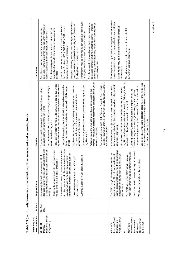| ļ             |
|---------------|
|               |
|               |
|               |
|               |
| $-25$ $-25$   |
|               |
|               |
|               |
|               |
|               |
| $\frac{1}{2}$ |
|               |
|               |
| i<br>I        |
|               |
| i             |
| $\frac{1}{2}$ |
| ì<br>I        |
|               |
|               |
| ļ             |
|               |
|               |
|               |
|               |
|               |
|               |
|               |
|               |
| i<br>I<br>֕   |

| Limitations                        | dementia. There is a risk that individuals may misinterpret<br>Sensitive to cognitive change from any cause, not just<br>connection & means to pay in order to access scoring<br>Requires a computer for administration, & an internet<br>results, especially if medical supervision is absent<br>services                                          | Designed to identify intra-individual changes in performance<br>over time, rather than classification/diagnosis of cognitive<br>Costs to have the test scored are \$70 + GST per test for<br>individuals & between \$25 + GST & \$45 + GST per test<br>submitted by a medical practitioner<br>function based on a single score | Performance may be impaired by non-cognitive factors such<br>as fatigue, visual impairment or physical limitations | People wishing to download & use the test are encouraged<br>effects may not be adequately controlled in the absence of<br>to practise before submitting the test for scoring-practice<br>medical supervision |                                                                                                                                                             | repeat measures should be conducted by the same clinician<br>Must be performed by a clinician with appropriate expertise-<br>Global ratings may be more subjective than quantitative<br>Not suitable as a screening instrument, or to establish<br>severity of cognitive impairment<br>assessments                                                                                                                                                                                                                                                                                                                                                                                                                 |                             |
|------------------------------------|-----------------------------------------------------------------------------------------------------------------------------------------------------------------------------------------------------------------------------------------------------------------------------------------------------------------------------------------------------|--------------------------------------------------------------------------------------------------------------------------------------------------------------------------------------------------------------------------------------------------------------------------------------------------------------------------------|--------------------------------------------------------------------------------------------------------------------|--------------------------------------------------------------------------------------------------------------------------------------------------------------------------------------------------------------|-------------------------------------------------------------------------------------------------------------------------------------------------------------|--------------------------------------------------------------------------------------------------------------------------------------------------------------------------------------------------------------------------------------------------------------------------------------------------------------------------------------------------------------------------------------------------------------------------------------------------------------------------------------------------------------------------------------------------------------------------------------------------------------------------------------------------------------------------------------------------------------------|-----------------------------|
| <b>Benefits</b>                    | by non-medical staff-results are returned by email within minutes<br>Takes approximately 15 minutes to complete & can be supervised<br>A computerised test designed for baseline & follow-up testing to<br>Includes reaction time, choice decision time, working memory &<br>measure change in performance over time<br>monitoring & learning tasks | Uses ordinary playing cards as stimuli, limiting reliance on verbal<br>May be useful for testing for mild cognitive impairment based on<br>tems-this may improve application across cultural & language<br>improved performance (i.e. learning) over multiple tests<br>administered on the same day<br>groups                  | May encourage people to be more active in monitoring their own<br>cognitive function                               | internet-however, CogHealth recommend that testing occur under<br>Available to anyone who has a credit card and access to the<br>medical supervision                                                         | Russian, Norwegian, Danish, Finnish, Greek, Hungarian, Japanese<br>Can be administered in English, German, Spanish, French, Italian,<br>or Chinese Mandarin | cognition, & a 7-point clinical global impression of change scale that<br>Can be used as evidence to establish eligibility for ongoing access<br>to subsidised anticholinesterases through the PBS, under certain<br>major areas of patient function: general, cognitive, behavioural &<br>changes not supported by like changes in function or behaviour<br>A semi-structured, subjective instrument intended to examine 4<br>Includes clinicians' notes about patients' behaviour, function &<br>May help to identify 'meaningful' cognitive improvements, as<br>clinicians may be sceptical of (& less likely to rate) cognitive<br>summarises patients' changes during treatment<br>activities of daily living | circumstances (see Box 2.2) |
| Purpose & use                      | designed to detect mild cognitive impairment prior<br>under<br>to the patient developing significant symptoms or<br>A commercially developed assessment tool<br>Designed to be used directly by individuals<br>the supervision of a medical practitioner<br>morbidity                                                                               | about or may be at risk of developing dementia to<br><b>orried</b><br>performance & monitor any changes over time<br>Promoted as a means for anyone who is w<br>establish a baseline for their own cognitive<br>Used in some drug trials to test efficacy of<br>pharmacotherapy                                                | Currently available for use around Australia                                                                       |                                                                                                                                                                                                              |                                                                                                                                                             | change that cannot be obtained from quantitative<br>Most often used to assess efficacy of treatments<br>input from caregivers or other family informants<br>$\overline{5}$<br>gu<br>provide an index of the clinical importance of<br>৳<br>The CIBIC is a global rating scale intended<br>assessment measures such as mental stat<br>The CIBIC-plus is the CIBIC with inclusion<br>Widely used in antidementia drug trials<br>examinations                                                                                                                                                                                                                                                                         |                             |
| Authors                            | CogState<br><u>raj</u>                                                                                                                                                                                                                                                                                                                              |                                                                                                                                                                                                                                                                                                                                |                                                                                                                    |                                                                                                                                                                                                              |                                                                                                                                                             |                                                                                                                                                                                                                                                                                                                                                                                                                                                                                                                                                                                                                                                                                                                    |                             |
| assessment tool<br>Screening test/ | Monitoring System<br>(CogHealth)<br>CogHealth<br>Memory                                                                                                                                                                                                                                                                                             |                                                                                                                                                                                                                                                                                                                                |                                                                                                                    |                                                                                                                                                                                                              |                                                                                                                                                             | Interview-Based<br>Change (CIBIC)<br>Interview-Based<br>Caregiver Input<br>Impression of<br>Impression of<br>Change with<br>(CIBIC-plus)<br>Clinician's<br>Clinician's<br>య                                                                                                                                                                                                                                                                                                                                                                                                                                                                                                                                        |                             |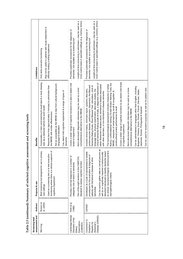| assessment tool<br>Screening test/                                             | Authors                 | Purpose & use                                                                                                                                                                                                                                                                                                                                                                                                      | <b>Benefits</b>                                                                                                                                                                                                                                                                                                                                                                                                                                                                                                                                                                                                                                                                                                                                                                                                                                                                                                                                                                                                                                                                                                                                                                          | Limitations                                                                                                                                                                                                                    |
|--------------------------------------------------------------------------------|-------------------------|--------------------------------------------------------------------------------------------------------------------------------------------------------------------------------------------------------------------------------------------------------------------------------------------------------------------------------------------------------------------------------------------------------------------|------------------------------------------------------------------------------------------------------------------------------------------------------------------------------------------------------------------------------------------------------------------------------------------------------------------------------------------------------------------------------------------------------------------------------------------------------------------------------------------------------------------------------------------------------------------------------------------------------------------------------------------------------------------------------------------------------------------------------------------------------------------------------------------------------------------------------------------------------------------------------------------------------------------------------------------------------------------------------------------------------------------------------------------------------------------------------------------------------------------------------------------------------------------------------------------|--------------------------------------------------------------------------------------------------------------------------------------------------------------------------------------------------------------------------------|
| Mini-Cog                                                                       | Borson et<br>al. (2000) | functioning where there is a clinical suspicion of<br>Brief screening tool designed for use in primary<br>Used as a screening test or to test executive<br>cognitive impairment<br>care settings                                                                                                                                                                                                                   | Incorporates a 3 item word learning & recall task & a clock drawing<br>Not as susceptible as the MMSE to bias from cultural background,<br>Requires less time (approximately 3 minutes) to administer than<br>Can detect mild cognitive impairment & a range of types of<br>task (as a distracter before the word recall)<br>the MMSE with similar effectiveness<br>language & education<br>dementia                                                                                                                                                                                                                                                                                                                                                                                                                                                                                                                                                                                                                                                                                                                                                                                     | May not be useful in patients with visual impairment or<br>difficulty holding a writing implement<br>Only tests executive functioning                                                                                          |
| Cambridge Mental<br>Disorders of the<br>Examination<br>(CAMDEX)<br>Elderly     | Roth et al.<br>(1988)   | ৳<br>One of the eight sections is the CAMCOG,<br>Provides a formal diagnosis in a number<br>designed to assess cognitive function<br>categories one of which is dementia                                                                                                                                                                                                                                           | Covers a wider range of cognitive functions & is able to detect mild<br>Semi-structured diagnostic interviews may be used as a more<br>comprehensive alternative to the MMSE<br>evels of impairment                                                                                                                                                                                                                                                                                                                                                                                                                                                                                                                                                                                                                                                                                                                                                                                                                                                                                                                                                                                      | Lengthy & time-consuming to administer-may be used on a<br>more routine basis in specialist settings (e.g. memory clinics)<br>Provides systematic procedures for the diagnosis of<br>dementia-not suitable as a screening tool |
| Disease (CERAD)<br>Consortium to<br>Alzheimer's<br>Registry for<br>Establish a | CERAD                   | Can be used to gather data on normal persons as<br>ral &/or<br>eliable<br>based<br>well as on cognitively impaired or behaviourally<br>procedures for the evaluation & diagnosis of<br>patients with Alzheimer's disease & other<br>disturbed individuals to identify dementia<br>on clinical, neuropsychological, behaviou<br>Developed as a suite of standardised & r<br>neuropathological criteria<br>dementias | Covers a wider range of cognitive functions & can detect mild levels<br>Clinical Dementia Rating scale & finally, a diagnostic impression of<br>fluency, confrontational naming (15-item Boston Naming Test), the<br>The neuropsychological assessment includes measures of verbal<br>either Alzheimer's disease alone, Alzheimer's disease associated<br>cerebrovascular disease, parkinsonism, depression, the Blessed<br>Dementia Rating Scale, Short Blessed Test, calculation, clock &<br>Can be administered in languages other than English, including<br>Can be used for research purposes as well as for patient care<br>Semi-structured diagnostic interviews may be used as a more<br>language tests, physical examination, laboratory studies, the<br>Includes clinical history, informant report, systemic disorders,<br>Bulgarian, Chinese, Dutch, Finnish, French, German, Italian,<br>MMSE, measures of verbal learning, recall & recognition &<br>with other disorders, or non-Alzheimer's disease dementia<br>Japanese, Korean, Portuguese & Spanish<br>constructional praxis performance & recall<br>comprehensive alternative to the MMSE<br>of cognitive impairment | Lengthy & time-consuming to administer-may be used on a<br>more routine basis in specialist settings (e.g. memory clinics)<br>Provides systematic procedures for the diagnosis of<br>dementia-not suitable as a screening tool |

|            | こうりょう きょうりょうじ かんきょう                   |
|------------|---------------------------------------|
|            | ししょ                                   |
|            | :<br>: 242222<br>$\ddot{\phantom{0}}$ |
|            |                                       |
| ,<br> <br> | $\vdots$                              |

18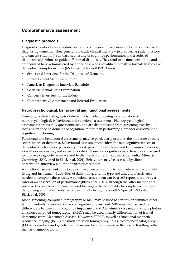## **Comprehensive assessment**

### **Diagnostic protocols**

Diagnostic protocols are standardised forms of major clinical assessments that can be used in diagnosing dementia. They generally include clinical interview (e.g. covering patient history and current situation), standardised testing of cognitive performance, and a series of diagnostic algorithms to guide differential diagnosis. They tend to be time-consuming and are required to be administered by a specialist who is qualified to make a formal diagnosis of dementia. Examples include (McDowell & Newell 1996:332–3):

- Structured Interview for the Diagnosis of Dementia
- British Present State Examination
- American Diagnostic Interview Schedule
- Geriatric Mental State Examination
- Canberra Interview for the Elderly
- Comprehensive Assessment and Referral Evaluation.

### **Neuropsychological, behavioural and functional assessments**

Generally, a clinical diagnosis of dementia is made following a combination of neuropsychological, behavioural and functional assessments. Neuropsychological assessments are usually questionnaires, and are distinguished from screening tests by focusing on specific domains of cognition, rather than performing a broader assessment of cognitive functioning.

Functional and behavioural assessments may be particularly useful in the moderate or more severe stages of dementia. Behavioural assessment considers the non-cognitive aspects of dementia which include personality, mood, psychotic symptoms and behaviours of concern, as well as sleep, eating and sexual disorders. These non-cognitive characteristics can be used to improve diagnostic accuracy and to distinguish different causes of dementia (Mirea & Cummings 2000, cited in Black et al. 2001). Behaviours may be assessed by direct observation, interviews, questionnaires or case notes.

A functional assessment aims to determine a person's ability to complete activities of daily living and instrumental activities of daily living, and the type and amount of assistance needed to complete these tasks. A functional assessment can be a self-report, a report by a carer or an observation of performance (Black et al. 2001), although the latter methods are preferred as people with dementia tend to exaggerate their ability to complete activities of daily living and instrumental activities of daily living (Carswell & Spiegel 1999, cited in Black et al. 2001).

Blood screening, computed tomography or MRI may be used to confirm or eliminate other (and potentially reversible) causes of cognitive impairment. MRI may also be used to differentiate between mild cognitive impairment and Alzheimer's disease, and single photon emission computed tomography (SPECT) may be used in early differentiation of frontal dementias from Alzheimer's disease. However, SPECT, as well as functional magnetic resonance imaging (fMRI), positron emission tomography (PET), electroencephalography (EEG), biomarkers and genetic testing are predominantly used in the research setting rather than as diagnostic tools.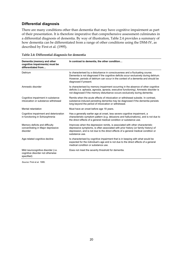#### **Differential diagnosis**

There are many conditions other than dementia that may have cognitive impairment as part of their presentation. It is therefore imperative that comprehensive assessment culminates in a differential diagnosis of dementia. By way of illustration, Table 2.4 provides a summary of how dementia can be differentiated from a range of other conditions using the DSM-IV, as described by First et al. (1995).

| Dementia (memory and other<br>cognitive impairments) must be<br>differentiated from  | In contrast to dementia, the other condition                                                                                                                                                                                                                                         |
|--------------------------------------------------------------------------------------|--------------------------------------------------------------------------------------------------------------------------------------------------------------------------------------------------------------------------------------------------------------------------------------|
| Delirium                                                                             | Is characterised by a disturbance in consciousness and a fluctuating course.<br>Dementia is not diagnosed if the cognitive deficits occur exclusively during delirium.<br>However, periods of delirium can occur in the context of a dementia and should be<br>diagnosed if present. |
| Amnestic disorder                                                                    | Is characterised by memory impairment occurring in the absence of other cognitive<br>deficits (i.e. aphasia, agnosia, apraxia, executive functioning). Amnestic disorder is<br>not diagnosed if the memory disturbance occurs exclusively during dementia.                           |
| Cognitive impairment in substance<br>intoxication or substance withdrawal            | Remits when the acute effects of intoxication or withdrawal subside. In contrast,<br>substance-induced persisting dementia may be diagnosed if the dementia persists<br>long beyond the period of intoxication or withdrawal.                                                        |
| Mental retardation                                                                   | Must have an onset before age 18 years.                                                                                                                                                                                                                                              |
| Cognitive impairment and deterioration<br>in functioning in Schizophrenia            | Has a generally earlier age at onset, less severe cognitive impairment, a<br>characteristic symptom pattern (e.g. delusions and hallucinations), and is not due to<br>the direct effects of a general medical condition or substance use.                                            |
| Memory deficits and difficulty<br>concentrating in Major depressive<br>disorder      | Improves when the depression remits, is associated with other characteristic<br>depressive symptoms, is often associated with prior history (or family history) of<br>depression, and is not due to the direct effects of a general medical condition or<br>substance use.           |
| Age-related cognitive decline                                                        | Is characterised by cognitive impairment that is in keeping with what would be<br>expected for the individual's age and is not due to the direct effects of a general<br>medical condition or substance use.                                                                         |
| Mild neurocognitive disorder (i.e.<br>cognitive disorder not otherwise<br>specified) | Does not meet the severity threshold for dementia.                                                                                                                                                                                                                                   |

*Source:* First et al. 1995.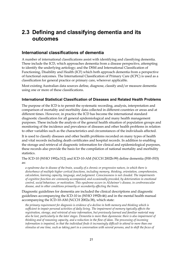# **2.3 Defining and classifying dementia and its outcomes**

### **International classifications of dementia**

A number of international classifications assist with identifying and classifying dementia. These include the ICD, which approaches dementia from a disease perspective, attempting to identify the underlying aetiology; and the DSM and International Classification of Functioning, Disability and Health (ICF) which both approach dementia from a perspective of functional outcomes. The International Classification of Primary Care (ICPC) is used as a classification for general practice or primary care, wherever applicable.

Most existing Australian data sources define, diagnose, classify and/or measure dementia using one or more of these classifications.

#### **International Statistical Classification of Diseases and Related Health Problems**

The purpose of the ICD is to permit the systematic recording, analysis, interpretation and comparison of mortality and morbidity data collected in different countries or areas and at different times. However, in practice the ICD has become the international standard diagnostic classification for all general epidemiological and many health management purposes. These include the analysis of the general health situation of population groups and monitoring of the incidence and prevalence of diseases and other health problems in relation to other variables such as the characteristics and circumstances of the individuals affected.

It is used to classify diseases and other health problems recorded on many types of health and vital records including death certificates and hospital records. In addition to enabling the storage and retrieval of diagnostic information for clinical and epidemiological purposes, these records also provide the basis for the compilation of national mortality and morbidity statistics.

The ICD-10 (WHO 1992a:312) and ICD-10-AM (NCCH 2002b:99) define dementia (F00–F03) as:

*a syndrome due to disease of the brain, usually of a chronic or progressive nature, in which there is disturbance of multiple higher cortical functions, including memory, thinking, orientation, comprehension, calculation, learning capacity, language, and judgement. Consciousness is not clouded. The impairments of cognitive function are commonly accompanied, and occasionally preceded, by deterioration in emotional control, social behaviour, or motivation. This syndrome occurs in Alzheimer's disease, in cerebrovascular disease, and in other conditions primarily or secondarily affecting the brain.* 

Diagnostic guidelines for dementia are included the clinical descriptions and diagnostic guidelines accompanying the ICD-10 in (WHO 1992b:46) and in the mental health manual accompanying the ICD-10-AM (NCCH 2002a:38), which state:

*the primary requirement for diagnosis is evidence of a decline in both memory and thinking which is sufficient to impair personal activities of daily living. The impairment of memory typically affects the registration, storage, and retrieval of new information, but previously learned and familiar material may also be lost, particularly in the later stages. Dementia is more than dysmnesia: there is also impairment of thinking and of reasoning capacity, and a reduction in the flow of ideas. The processing of incoming information is impaired, in that the individual finds it increasingly difficult to attend to more than one stimulus at one time, such as taking part in a conversation with several persons, and to shift the focus of*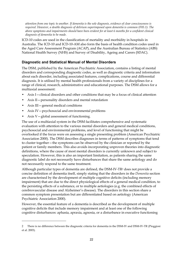*attention from one topic to another. If dementia is the sole diagnosis, evidence of clear consciousness is required. However, a double diagnosis of delirium superimposed upon dementia is common (F05.1). The above symptoms and impairments should have been evident for at least 6 months for a confident clinical diagnosis of dementia to be made.* 

ICD-10 codes are used in the classification of mortality and morbidity in hospitals in Australia. The ICD-10 and ICD-10-AM also form the basis of health condition codes used in the Aged Care Assessment Program (ACAP), and the Australian Bureau of Statistics (ABS) National Health Survey (NHS) and Survey of Disability, Ageing and Carers (SDAC).

#### **Diagnostic and Statistical Manual of Mental Disorders**

The DSM, published by the American Psychiatric Association, contains a listing of mental disorders and corresponding diagnostic codes, as well as diagnostic criteria and information about each disorder, including associated features, complications, course and differential diagnosis. It is utilised by mental health professionals from a variety of disciplines for a range of clinical, research, administrative and educational purposes. The DSM allows for a multiaxial assessment:

- Axis I—clinical disorders and other conditions that may be a focus of clinical attention
- Axis II—personality disorders and mental retardation
- Axis III general medical conditions

 $\overline{a}$ 

- Axis IV—psychosocial and environmental problems
- Axis V-global assessment of functioning.

The use of a multiaxial system in the DSM facilitates comprehensive and systematic evaluation with attention to the various mental disorders and general medical conditions, psychosocial and environmental problems, and level of functioning that might be overlooked if the focus were on assessing a single presenting problem (American Psychiatric Association 2000). The DSM describes diagnoses in terms of patterns of symptoms that tend to cluster together—the symptoms can be observed by the clinician or reported by the patient or family members. This also avoids incorporating unproven theories into diagnostic definitions, where the cause of most mental disorders is currently unknown and subject to speculation. However, this is also an important limitation, as patients sharing the same diagnostic label do not necessarily have disturbances that share the same aetiology and do not necessarily respond to the same treatment.

Although particular types of dementia are defined, the DSM-IV-TR2 does not provide a concise definition of dementia itself, simply stating that the disorders in the *Dementia* section are characterised by the development of multiple cognitive deficits (including memory impairment) that are due to the direct physiological effects of a general medical condition, to the persisting effects of a substance, or to multiple aetiologies (e.g. the combined effects of cerebrovascular disease and Alzheimer's disease). The disorders in this section share a common symptom presentation but are differentiated based on aetiology (American Psychiatric Association 2000).

However, the essential feature of a dementia is described as the development of multiple cognitive deficits that include memory impairment and at least one of the following cognitive disturbances: aphasia, apraxia, agnosia, or a disturbance in executive functioning

<sup>2</sup> There is no difference between the diagnostic criteria for dementia in the DSM-IV and DSM-IV-TR (Pioggiosi et al. 2003).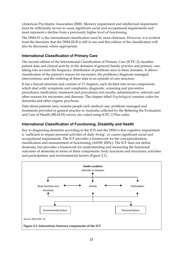(American Psychiatric Association 2000). Memory impairment and intellectual impairment must be sufficiently severe to cause significant social and occupational impairments and must represent a decline from a previously higher level of functioning.

The DSM-IV is the international classification used by most clinicians. However, it is evident from the literature that the DSM-III-R is still in use and this edition of the classification will also be discussed, where appropriate.

### **International Classification of Primary Care**

The second edition of the International Classification of Primary Care (ICPC-2) classifies patient data and clinical activity in the domains of general/family practice and primary care, taking into account the frequency distribution of problems seen in these domains. It allows classification of the patient's reason for encounter, the problems/diagnosis managed, interventions, and the ordering of these data in an episode of care structure.

It has a biaxial structure and consists of 17 chapters, each divided into seven components which deal with: symptoms and complaints; diagnostic, screening and preventive procedures; medication, treatment and procedures; test results; administrative; referrals and other reasons for encounter; and diseases. The chapter titled *Psychological* contains codes for dementia and other organic psychosis.

Data about patients seen, reasons people seek medical care, problems managed and treatments provided in general practice in Australia collected by the Bettering the Evaluation and Care of Health (BEACH) survey are coded using ICPC-2 Plus codes.

### **International Classification of Functioning, Disability and Health**

Key to diagnosing dementia according to the ICD and the DSM is that cognitive impairment is 'sufficient to impair personal activities of daily living', or causes significant social and occupational impairments. The ICF provides a framework for the conceptualisation, classification and measurement of functioning (AIHW 2003c). The ICF does not define dementia, but provides a framework for understanding and measuring the functional outcomes of dementia in terms of three components: body functions and structures; activities and participation; and environmental factors (Figure 2.1).

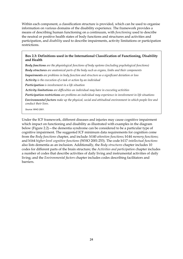Within each component, a classification structure is provided, which can be used to organise information on various domains of the disability experience. The framework provides a means of describing human functioning on a continuum, with *functioning* used to describe the neutral or positive health states of body functions and structures and activities and participation, and *disability* used to describe impairments, activity limitations or participation restrictions.

#### **Box 2.3: Definitions used in the International Classification of Functioning, Disability and Health**

*Body functions are the physiological functions of body systems (including psychological functions) Body structures are anatomical parts of the body such as organs, limbs and their components Impairments are problems in body function and structure as a significant deviation or loss Activity is the execution of a task or action by an individual Participation is involvement in a life situation Activity limitations are difficulties an individual may have in executing activities* 

*Participation restrictions are problems an individual may experience in involvement in life situations Environmental factors make up the physical, social and attitudinal environment in which people live and conduct their lives.* 

*Source:* WHO 2001.

Under the ICF framework, different diseases and injuries may cause cognitive impairment which impact on functioning and disability as illustrated with examples in the diagram below (Figure 2.2)—the dementia syndrome can be considered to be a particular type of cognitive impairment. The suggested ICF minimum data requirements for cognition come from the *Body functions* chapter, and include: b140 *attention functions*; b144 *memory functions*; and b164 *higher-level cognitive functions* (WHO 2001:253). The code b117 *intellectual functions* also lists dementia as an inclusion. Additionally, the *Body structures* chapter includes 10 codes for different parts of the brain structure; the *Activities and participation* chapter includes a number of codes that describe activities of daily living and instrumental activities of daily living; and the *Environmental factors* chapter includes codes describing facilitators and barriers.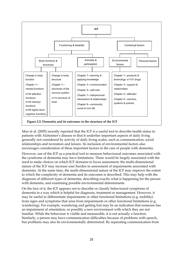

Muo et al. (2005) recently reported that the ICF is a useful tool to describe health status in patients with Alzheimer's disease in that it underlies important aspects of daily living generally not considered by activity of daily living scales, such as communication, social relationships and recreation and leisure. Its inclusion of environmental factors also encourages consideration of these important factors in the care of people with dementia.

However, use of the ICF as a practical tool to measure behavioural outcomes associated with the syndrome of dementia may have limitations. These would be largely associated with the need to make choices on which ICF domains to focus assessment; the multi-dimensional nature of the ICF may increase user burden in assessment of impairments associated with dementia. At the same time, the multi-dimensional nature of the ICF may improve the extent to which the complexity of dementia and its outcomes is described. This may help with the diagnosis of different types of dementia, describing exactly what is happening for the person with dementia, and examining possible environmental determinants.

On the face of it, the ICF appears not to describe or classify behavioural symptoms of dementia in a way which is helpful for diagnosis, treatment or management. However, it may be useful to differentiate impairments or other functional limitations (e.g. mobility) from signs and symptoms that arise from impairments or other functional limitations (e.g. wandering). For example, wandering and getting lost may be an indication that someone has an impairment of orientation, or possibly a new environment with which they are not familiar. While the behaviour is visible and measurable, it is not actually a function. Similarly, a person may have communication difficulties because of problems with speech, but problems may also be environmentally determined. By separating communication from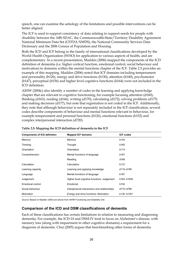speech, one can examine the aetiology of the limitations and possible interventions can be better aligned.

The ICF is used to support consistency of data relating to support needs for people with disability between the ABS SDAC, the Commonwealth-State/Territory Disability Agreement National Minimum Data Set (CSTDA NMDS), the National Community Services Data Dictionary and the 2006 Census of Population and Housing.

Both the ICD and ICF belong to the family of international classifications developed by the World Health Organization (WHO) for application to various aspects of health, and are complementary. In a recent presentation, Madden (2006) mapped the components of the ICD definition of dementia (i.e. higher cortical function, emotional control, social behaviour and motivation) to domains within the mental functions chapter of the ICF. Table 2.5 provides an example of this mapping. Madden (2006) noted that ICF domains including temperament and personality (b126), energy and drive functions (b130), attention (b140), psychomotor (b147), perceptual (b156) and higher level cognitive functions (b164) were not included in the ICD definition.

AIHW (2004c) also identify a number of codes in the learning and applying knowledge chapter that are relevant to cognitive functioning, for example focusing attention (d160), thinking (d163), reading (d166), writing (d170), calculating (d172), solving problems (d175) and making decisions (d177), but note that registration is not coded in the ICF. Additionally, they note that although behaviour is not separately included in the ICF classification, several codes describe components of behaviour and mental functions relevant to behaviour, for example temperament and personal functions (b126), emotional functions (b152) and complex interpersonal interaction (d720).

| <b>Components of ICD definition</b> | <b>Mapped ICF domains</b>                    | <b>ICF codes</b> |
|-------------------------------------|----------------------------------------------|------------------|
| Memory                              | Memory                                       | b144             |
| Thinking                            | Thought                                      | b160             |
| Orientation                         | Orientation                                  | b114             |
| Comprehension                       | Mental functions of language                 | b167             |
|                                     | Reading                                      | d166             |
| Calculation                         | Calculation                                  | b172             |
| Learning capacity                   | Learning and applying knowledge              | d110-d199        |
| Language                            | Mental functions of language                 | b167             |
| Judgement                           | Higher level cognitive functions: Judgement  | b164: b1645      |
| Emotional control                   | Emotional                                    | b152             |
| Social behaviour                    | Interpersonal interactions and relationships | d710-d799        |
| Motivation                          | Energy and drive functions: Motivation       | b130: b1301      |

#### **Table 2.5: Mapping the ICD definition of dementia to the ICF**

*Source:* Based on Madden 2006 and advice from AIHW Functioning and Disability Unit.

#### **Comparison of the ICD and DSM classifications of dementia**

Each of these classifications has certain limitations in relation to measuring and diagnosing dementia. For example, the ICD-10 and DSM-IV tend to focus on Alzheimer's disease, with memory loss (along with impairment in other cognitive domains) a requirement for a diagnosis of dementia. Chui (2005) argues that benchmarking other forms of dementia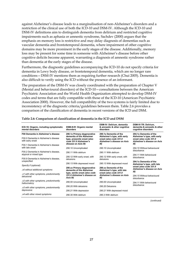against Alzheimer's disease leads to a marginalisation of non-Alzheimer's disorders and a restriction of the clinical use of both the ICD-10 and DSM-IV. Although the ICD-10 and DSM-IV definitions aim to distinguish dementia from delirium and restricted cognitive impairments such as aphasia or amnestic syndrome, Sachdev (2000) argues that the emphasis on memory loss is restrictive and may delay diagnosis of dementias such as vascular dementia and frontotemporal dementia, where impairment of other cognitive domains may be more prominent in the early stages of the disease. Additionally, memory loss may be present for some time in someone with Alzheimer's disease before other cognitive deficits become apparent, warranting a diagnosis of amnestic syndrome rather than dementia at the early stages of the disease.

Furthermore, the diagnostic guidelines accompanying the ICD-10 do not specify criteria for dementia in Lewy body disease, or frontotemporal dementia, which are no longer rare conditions—DSM-IV mentions them as requiring further research (Chui 2005). Dementia is also difficult to verify using the ICD without the presence of an informant.

The preparation of the DSM-IV was closely coordinated with the preparation of Chapter V (Mental and behavioural disorders) of the ICD-10—consultations between the American Psychiatric Association and the World Health Organization attempted to develop DSM-IV codes and terms that are fully compatible with those of the ICD-10 (American Psychiatric Association 2000). However, the full compatibility of the two systems is fairly limited due to inconsistency of the diagnostic criteria/guidelines between them. Table 2.6 provides a comparison of the classification of dementia in recent versions of the ICD and DSM.

| ICD-10: Organic, including symptomatic<br>mental disorders | DSM-III-R: Organic mental<br>disorders                                             | DSM-IV: Delirium, dementia<br>& amnestic & other cognitive<br>disorders               | DSM-IV-TR: Delirium,<br>dementia & amnestic & other<br>cognitive disorders                    |  |  |
|------------------------------------------------------------|------------------------------------------------------------------------------------|---------------------------------------------------------------------------------------|-----------------------------------------------------------------------------------------------|--|--|
| F00 Dementia in Alzheimer's disease                        | 290.1x Primary degenerative                                                        | 290.1x Dementia of the                                                                | 294.1x Dementia of the                                                                        |  |  |
| F00.0 Dementia in Alzheimer's disease<br>with early onset  | dementia of the Alzheimer<br>type, presenile onset (also<br>code 331.0 Alzheimer's | Alzheimer's type, with early<br>onset (also code 331.0<br>Alzheimer's disease on Axis | Alzheimer's type, with early<br>onset (also code 331.0<br>Alzheimer's disease on Axis<br>III) |  |  |
| F00.1 Dementia in Alzheimer's disease                      | disease on Axis III)                                                               | III)                                                                                  |                                                                                               |  |  |
| with late onset                                            | 290.10 Uncomplicated                                                               | 290.10 Uncomplicated                                                                  | 294.10 Without behavioural                                                                    |  |  |
| F00.2 Dementia in Alzheimer's disease.                     | 290.11 With delirium                                                               | 290.11 With delirium                                                                  | disturbance                                                                                   |  |  |
| atypical or mixed type                                     | 290.12 With early onset, with                                                      | 290.12 With early onset, with                                                         | 294.11 With behavioural                                                                       |  |  |
| F00.9 Dementia in Alzheimer's disease.                     | delusions                                                                          | delusions                                                                             | disturbance                                                                                   |  |  |
| unspecified                                                | 290.13 With depressed mood                                                         | 290.13 With depressed mood                                                            | 294.1x Dementia of the<br>Alzheimer's type, with late<br>onset (also code 331.0               |  |  |
| Specify if (optional):                                     |                                                                                    |                                                                                       |                                                                                               |  |  |
| .x0 without additional symptoms                            | 290.xx Primary degenerative<br>dementia of the Alzheimer                           | 290 xx Dementia of the<br>Alzheimer's type, with late                                 | Alzheimer's disease on Axis<br>III)                                                           |  |  |
| .x1 with other symptoms, predominantly<br>delusional       | type, senile onset (also code<br>331.0 Alzheimer's disease on                      | onset (also code 331.0<br>Alzheimer's disease on Axis                                 | 294.10 Without behavioural                                                                    |  |  |
|                                                            | Axis III)                                                                          | III                                                                                   | disturbance                                                                                   |  |  |
| .x2 with other symptoms, predominantly<br>hallucinatory    | 290.00 Uncomplicated                                                               | 290.00 Uncomplicated                                                                  | 294.11 With behavioural<br>disturbance                                                        |  |  |
| .x3 with other symptoms, predominantly                     | 290.20 With delusions                                                              | 290.20 Delusions                                                                      |                                                                                               |  |  |
| depressive                                                 | 290.21 With depression                                                             | 290.21 With depressed mood                                                            |                                                                                               |  |  |
| .x4 with other mixed symptoms                              | 290.30 With delirium                                                               | 290.3 With delirium                                                                   |                                                                                               |  |  |

#### **Table 2.6: Comparison of classification of dementia in the ICD and DSM**

*(continued)*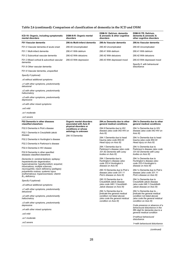### **Table 2.6 (continued): Comparison of classification of dementia in the ICD and DSM**

| ICD-10: Organic, including symptomatic<br>mental disorders                                                                                                      | DSM-III-R: Organic mental<br>disorders                                        | DSM-IV: Delirium, dementia<br>& amnestic & other cognitive<br>disorders                                                  | DSM-IV-TR: Delirium,<br>dementia & amnestic &<br>other cognitive disorders                                                             |  |  |
|-----------------------------------------------------------------------------------------------------------------------------------------------------------------|-------------------------------------------------------------------------------|--------------------------------------------------------------------------------------------------------------------------|----------------------------------------------------------------------------------------------------------------------------------------|--|--|
| F01 Vascular dementia                                                                                                                                           | 290.4x Multi-infarct dementia                                                 | 290.4x Vascular dementia                                                                                                 | 290.4x Vascular dementia                                                                                                               |  |  |
| F01.0 Vascular dementia of acute onset                                                                                                                          | 290.40 Uncomplicated                                                          | 290.40 Uncomplicated                                                                                                     | 290.40 Uncomplicated                                                                                                                   |  |  |
| F01.1 Multi-infarct dementia                                                                                                                                    | 290.41 With delirium                                                          | 290.41 With delirium                                                                                                     | 290.41 With delirium                                                                                                                   |  |  |
| F01.2 Subcortical vascular dementia                                                                                                                             | 290.42 With delusions                                                         | 290.42 With delusions                                                                                                    | 290.42 With delusions                                                                                                                  |  |  |
| F01.3 Mixed cortical & subcortical vascular<br>dementia                                                                                                         | 290.43 With depression                                                        | 290.43 With depressed mood                                                                                               | 290.43 With depressed mood                                                                                                             |  |  |
| F01.8 Other vascular dementia                                                                                                                                   |                                                                               |                                                                                                                          | Specify if: with behavioural<br>disturbance                                                                                            |  |  |
| F01.9 Vascular dementia, unspecified                                                                                                                            |                                                                               |                                                                                                                          |                                                                                                                                        |  |  |
| Specify if (optional):                                                                                                                                          |                                                                               |                                                                                                                          |                                                                                                                                        |  |  |
| .x0 without additional symptoms                                                                                                                                 |                                                                               |                                                                                                                          |                                                                                                                                        |  |  |
| x1 with other symptoms, predominantly.<br>delusional                                                                                                            |                                                                               |                                                                                                                          |                                                                                                                                        |  |  |
| x2 with other symptoms, predominantly.<br>hallucinatory                                                                                                         |                                                                               |                                                                                                                          |                                                                                                                                        |  |  |
| x3 with other symptoms, predominantly.<br>depressive                                                                                                            |                                                                               |                                                                                                                          |                                                                                                                                        |  |  |
| x4 with other mixed symptoms.                                                                                                                                   |                                                                               |                                                                                                                          |                                                                                                                                        |  |  |
| .xx0 mild                                                                                                                                                       |                                                                               |                                                                                                                          |                                                                                                                                        |  |  |
| .xx1 moderate                                                                                                                                                   |                                                                               |                                                                                                                          |                                                                                                                                        |  |  |
| .xx2 severe                                                                                                                                                     |                                                                               |                                                                                                                          |                                                                                                                                        |  |  |
| F02 Dementia in other diseases<br>classified elsewhere                                                                                                          | Organic mental disorders<br>associated with Axis III<br>physical disorders or | 294.xx Dementia due to other<br>general medical conditions                                                               | 294.1x Dementia due to other<br>general medical conditions<br>294.1x Dementia due to HIV<br>disease (also code 042 HIV on<br>Axis III) |  |  |
| F02.0 Dementia in Pick's disease<br>F02.1 Dementia in Creutzfeldt-Jakob                                                                                         | conditions or whose<br>aetiology is unknown                                   | 294.9 Dementia due to HIV<br>disease (also code 042 HIV on<br>Axis III)                                                  |                                                                                                                                        |  |  |
| disease                                                                                                                                                         | 294.10 Dementia                                                               | 294.1 Dementia due to head                                                                                               | 294.1x Dementia due to head<br>trauma (also code 854.00<br>Head injury on Axis III)                                                    |  |  |
| F02.2 Dementia in Huntington's disease                                                                                                                          |                                                                               | trauma (also code 854.00                                                                                                 |                                                                                                                                        |  |  |
| F02.3 Dementia in Parkinson's disease                                                                                                                           |                                                                               | Head injury on Axis III)                                                                                                 |                                                                                                                                        |  |  |
| F02.4 Dementia in HIV disease                                                                                                                                   |                                                                               | 294.1 Dementia due to<br>Parkinson's disease (also code                                                                  | 294.1x Dementia due to<br>Parkinson's disease (also code                                                                               |  |  |
| F02.8 Dementia in other specified<br>diseases classified elsewhere                                                                                              |                                                                               | 331.82 Dementia with Lewy<br>bodies on Axis III)                                                                         | 331.82 Dementia with Lewy<br>bodies on Axis III)                                                                                       |  |  |
| Dementia in: cerebral lipidosis; epilepsy;<br>hepatolenticular degeneration;<br>hypercalcaemia; hypothyroidism; acquired,<br>intoxications; multiple sclerosis; |                                                                               | 294.1 Dementia due to<br>Huntington's disease (also<br>code 333.4 Huntington's<br>disease on Axis III)                   | 294.1x Dementia due to<br>Huntington's disease (also<br>code 333.4 Huntington's<br>disease on Axis III)                                |  |  |
| neurosyphilis; niacin deficiency (pellagra);<br>polyarteritis nodosa; systemic lupus<br>erythematosus; trypanosomiasis; vitamin<br>$\mathsf B_{12}$ deficiency  |                                                                               | 290.10 Dementia due to Pick's<br>disease (also code 331.11<br>Pick's disease on Axis III)                                | 294.1x Dementia due to Pick's<br>disease (also code 331.11<br>Pick's disease on Axis III)                                              |  |  |
| Specify if (optional):                                                                                                                                          |                                                                               | 290.10 Dementia due to<br>Creutzfeldt-Jakob disease                                                                      | 294.1x Dementia due to<br>Creutzfeldt-Jakob disease                                                                                    |  |  |
| .x0 without additional symptoms                                                                                                                                 |                                                                               | (also code 046.1 Creutzfeldt-<br>Jakob disease on Axis III)                                                              | (also code 046.1 Creutzfeldt-<br>Jakob disease on Axis III)                                                                            |  |  |
| x1 with other symptoms, predominantly.<br>delusional                                                                                                            |                                                                               | 294.1x Dementia due to                                                                                                   | 294.1x Dementia due to                                                                                                                 |  |  |
| x2 with other symptoms, predominantly.<br>hallucinatory                                                                                                         |                                                                               | findicate the general medical<br>condition not listed above]<br>(also code the general medical<br>condition on Axis III) | findicate the general medical<br>condition not listed above]<br>(also code the general medical<br>condition on Axis III)               |  |  |
| x3 with other symptoms, predominantly.<br>depressive                                                                                                            |                                                                               |                                                                                                                          | Code presence or absence of a                                                                                                          |  |  |
| x4 with other mixed symptoms.                                                                                                                                   |                                                                               |                                                                                                                          | behavioural disturbance in the<br>fifth digit for dementia due to a<br>general medical condition                                       |  |  |
| .xx0 mild                                                                                                                                                       |                                                                               |                                                                                                                          | 0=without behavioural                                                                                                                  |  |  |
| .xx1 moderate                                                                                                                                                   |                                                                               |                                                                                                                          | disturbance                                                                                                                            |  |  |
| .xx2 severe                                                                                                                                                     |                                                                               |                                                                                                                          | 1=with behavioural disturbance                                                                                                         |  |  |

*(continued)*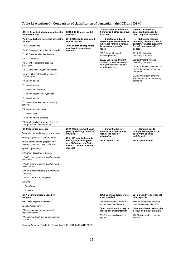|  |  |  |  |  |  | Table 2.6 (continued): Comparison of classification of dementia in the ICD and DSM |  |
|--|--|--|--|--|--|------------------------------------------------------------------------------------|--|
|--|--|--|--|--|--|------------------------------------------------------------------------------------|--|

| ICD-10: Organic, including symptomatic<br>mental disorders                | DSM-III-R: Organic mental<br>disorders                                                   | DSM-IV: Delirium, dementia<br>& amnestic & other cognitive<br>disorders                | DSM-IV-TR: Delirium,<br>dementia & amnestic &<br>other cognitive disorders |  |  |
|---------------------------------------------------------------------------|------------------------------------------------------------------------------------------|----------------------------------------------------------------------------------------|----------------------------------------------------------------------------|--|--|
| F1x.7 Residual and late-onset psychotic<br>disorder                       | 291.20 Dementia associated<br>with alcoholism                                            | - --- Substance-induced<br>persisting dementia (refer to                               | - ---- Substance-induced<br>persisting dementia (refer to                  |  |  |
| F1x.70 Flashbacks                                                         | 292.82 Other or unspecified                                                              | substance-related disorders<br>for substance-specific                                  | substance-related disorders<br>for substance-specific<br>codes)            |  |  |
| F1x.71 Personality or behaviour disorder                                  | psychoactive substance<br>dementia                                                       | codes)                                                                                 |                                                                            |  |  |
| F1x.72 Residual affective disorder                                        |                                                                                          | 291.2 Alcohol-induced<br>persisting dementia                                           | 291.2 Alcohol-induced<br>persisting dementia                               |  |  |
| F1x.73 Dementia                                                           |                                                                                          | 292.82 Substance (Inhalant,                                                            | 292.82 Inhalant-induced                                                    |  |  |
| F1x.74 Other persisting cognitive<br>impairment                           |                                                                                          | sedative, hypnotic & anxiolytic,<br>other (or unknown))-induced<br>persisting dementia | persisting dementia<br>292.82 Sedative-, hypnotic- or                      |  |  |
| F1x.73 Late-onset psychotic disorder                                      |                                                                                          |                                                                                        | anxiolytic-induced persisting<br>dementia                                  |  |  |
| For use with mental and behavioural<br>disorders due to                   |                                                                                          |                                                                                        | 292.82 Other (or unknown)<br>substance-induced persisting                  |  |  |
| F10 use of alcohol                                                        |                                                                                          |                                                                                        | dementia                                                                   |  |  |
| F11 use of opioids                                                        |                                                                                          |                                                                                        |                                                                            |  |  |
| F12 use of cannabinoids                                                   |                                                                                          |                                                                                        |                                                                            |  |  |
| F13 use of sedatives or hypnotics                                         |                                                                                          |                                                                                        |                                                                            |  |  |
| F14 use of cocaine                                                        |                                                                                          |                                                                                        |                                                                            |  |  |
| F15 use of other stimulants, including<br>caffeine                        |                                                                                          |                                                                                        |                                                                            |  |  |
| F16 use of hallucinogens                                                  |                                                                                          |                                                                                        |                                                                            |  |  |
| F17 use of tobacco                                                        |                                                                                          |                                                                                        |                                                                            |  |  |
| F18 use of volatile solvents                                              |                                                                                          |                                                                                        |                                                                            |  |  |
| F19 due to multiple drug use & use of<br>other psychoactive substances    |                                                                                          |                                                                                        |                                                                            |  |  |
| <b>F03 Unspecified dementia</b>                                           | 290.00 Senile dementia nos                                                               | - --- Dementia due to                                                                  | - --- Dementia due to                                                      |  |  |
| Presenile: dementia nos, psychosis nos                                    | (specify aetiology on Axis III<br>if known)                                              | multiple aetiologies (code<br>each of the specific                                     | multiple aetiologies (code<br>each of the specific                         |  |  |
| Primary degenerative dementia nos                                         | 290.10 Presenile dementia                                                                | aetiologies)                                                                           | aetiologies)                                                               |  |  |
| Senile: dementia nos; (depressed or<br>paranoid type, nos), psychosis nos | nos (specify aetiology on<br>axis III if known e.g. Pick's<br>disease, Jakob-Creutzfeldt | 294.8 Dementia nos                                                                     | 294.8 Dementia nos                                                         |  |  |
| Specify if (optional):                                                    | disease)                                                                                 |                                                                                        |                                                                            |  |  |
| x0 without additional symptoms.                                           |                                                                                          |                                                                                        |                                                                            |  |  |
| .x1 with other symptoms, predominantly<br>delusional                      |                                                                                          |                                                                                        |                                                                            |  |  |
| x2 with other symptoms, predominantly.<br>hallucinatory                   |                                                                                          |                                                                                        |                                                                            |  |  |
| x3 with other symptoms, predominantly<br>depressive                       |                                                                                          |                                                                                        |                                                                            |  |  |
| .x4 with other mixed symptoms                                             |                                                                                          |                                                                                        |                                                                            |  |  |
| .xx0 mild                                                                 |                                                                                          |                                                                                        |                                                                            |  |  |
| .xx1 moderate                                                             |                                                                                          |                                                                                        |                                                                            |  |  |
| xx2 severe.                                                               |                                                                                          |                                                                                        |                                                                            |  |  |
| F05.1 Delirium superimposed on<br>dementia                                |                                                                                          | 294.9 Cognitive disorder not<br>other specified                                        | 294.9 Cognitive disorder not<br>other specified                            |  |  |
| F06.7 Mild cognitive disorder                                             |                                                                                          | Mild neurocognitive disorder,<br>postconcussional disorder                             | Mild neurocognitive disorder,<br>postconcussional disorder                 |  |  |
| Specify if (optional):                                                    |                                                                                          | Other conditions that may be                                                           | Other conditions that may be                                               |  |  |
| .70 not associated with a systemic<br>physical disorder                   |                                                                                          | a focus of clinical attention<br>780.9 Age-related cognitive                           | a focus of clinical attention                                              |  |  |
| .71 associated with a systemic physical<br>disorder                       |                                                                                          | decline                                                                                | 780.93 Age-related cognitive<br>decline                                    |  |  |

*Sources:* American Psychiatric Association 1986, 1994, 2000; WHO 1992a.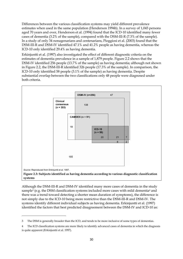Differences between the various classification systems may yield different prevalence estimates when used in the same population (Henderson 1994b). In a survey of 1,045 persons aged 70 years and over, Henderson et al. (1994) found that the ICD-10 identified many fewer cases of dementia (3.2% of the sample), compared with the DSM-III-R (7.3% of the sample). In a study of only 34 nonagenarians and centenarians, Pioggiosi et al. (2003) found that the DSM-III-R and DSM-IV identified 47.1% and 41.2% people as having dementia, whereas the ICD-10 only identified 29.4% as having dementia.

Erkinjuntti et al. (1997) also investigated the effect of different diagnostic criteria on the estimates of dementia prevalence in a sample of 1,879 people. Figure 2.2 shows that the DSM-IV identified 256 people (13.7% of the sample) as having dementia; although not shown in Figure 2.2, the DSM-III-R identified 326 people (17.3% of the sample). In comparison, the ICD-10 only identified 58 people (3.1% of the sample) as having dementia. Despite substantial overlap between the two classifications only 48 people were diagnosed under both criteria.



Although the DSM-III-R and DSM-IV identified many more cases of dementia in the study sample<sup>3</sup> (e.g. the DSM classification systems included more cases with mild dementia<sup>4</sup> and there was a trend toward detecting a shorter mean duration of symptoms), the difference is not simply due to the ICD-10 being more restrictive than the DSM-III-R and DSM-IV. The systems identify different individual subjects as having dementia. Erkinjuntti et al. (1997) identified the factors that best predicted disagreement between the DSM-IV and ICD-10 as:

 $\overline{a}$ 

<sup>3</sup> The DSM is generally broader than the ICD, and tends to be more inclusive of some types of dementias.

<sup>4</sup> The ICD classification systems are more likely to identify advanced cases of dementia in which the diagnosis is quite apparent (Erkinjuntti et al. 1997).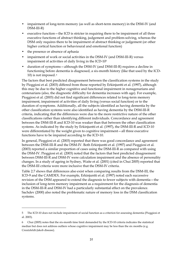- impairment of long-term memory (as well as short-term memory) in the DSM-IV (and DSM-III-R)
- executive function the ICD is stricter in requiring there to be impairment of all three executive functions of abstract thinking, judgement and problem-solving, whereas the DSM only requires there to be impairment of abstract thinking or judgement (or other higher cortical function or behavioural and emotional function)
- the presence or absence of aphasia

 $\overline{a}$ 

- impairment of work or social activities in the DSM-IV (and DSM-III-R) versus impairment of activities of daily living in the ICD-105
- duration of symptoms—although the DSM-IV (and DSM-III-R) requires a decline in functioning before dementia is diagnosed, a six-month history (like that used by the ICD-10) is not imposed. 6

The factors that best predicted disagreement between the classification systems in the study by Pioggiosi et al. (2003) differed from those reported by Erkinjuntti et al. (1997), although this may be due to the higher cognitive and functional impairment in nonagenarians and centenarians (also, the diagnostic difficulty for dementia increases with age). For example, Pioggiosi et al. (2003) did not find significant differences related to long-term memory impairment, impairment of activities of daily living (versus social function) or to the duration of symptoms. Additionally, all the subjects identified as having dementia by the other classification systems were also identified as having dementia by the DSM-III-R criteria, indicating that the differences were due to the more restrictive nature of the other classifications rather than identifying different individuals. Concordance and agreement between the DSM-III-R and ICD-10 was weaker than that between the other classification systems. As indicated by the study by Erkinjuntti et al. (1997), the DSM-III-R and ICD-10 were differentiated by the weight given to cognitive impairment—all three executive functions have to be impaired according to the ICD-10.

In general, Pioggiosi et al. (2003) reported that there was good concordance and agreement between the DSM-III-R and the DSM-IV. Both Erkinjuntti et al. (1997) and Pioggiosi et al. (2003) reported a similar proportion of cases using the DSM-III-R as compared with using the DSM-IV. Pioggiosi et al. (2003) noted that the factors that best predicted disagreement between DSM-III-R and DSM-IV were calculation impairment and the absence of personality changes. In a study of ageing in Sydney, Waite et al. (2001) (cited in Chui 2005) reported that the DSM-III criteria were more inclusive that the DSM-IV criteria.

Table 2.7 shows that differences also exist when comparing results from the DSM-III, the ICD-9 and the CAMDEX. For example, Erkinjuntti et al. (1997) noted each successive revision of the DSM appeared to extend the diagnosis to fewer subjects with dementia—the inclusion of long-term memory impairment as a requirement for the diagnosis of dementia in the DSM-III-R and DSM-IV had a particularly substantial effect on the prevalence. Sachdev (2000) also noted the problematic nature of memory loss in the DSM classification systems.

<sup>5</sup> The ICD-10 does not include impairment of social function as a criterion for assessing dementia (Pioggiosi et al. 2003).

<sup>6</sup> Chui (2005) notes that the six-month time limit demanded by the ICD-10 criteria indicates the statistical median but does not address outliers whose cognitive impairment may be less than the six months (e.g. Creutzfeldt-Jakob disease).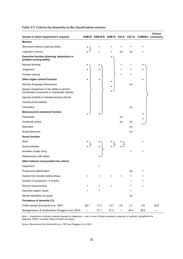| Domain in which impairment is required                                                        |                 | DSM-III DSM-III-R DSM-IV ICD-9 |           |                   | $ICD-10$    |           | <b>Clinical</b><br><b>CAMDEX consensus</b> |
|-----------------------------------------------------------------------------------------------|-----------------|--------------------------------|-----------|-------------------|-------------|-----------|--------------------------------------------|
| <b>Memory</b>                                                                                 |                 |                                |           |                   |             |           |                                            |
| Short-term memory (learning skills)                                                           |                 | +                              |           | $\ddot{}$         | +           | +         |                                            |
| Long-term memory                                                                              |                 | $\ddot{}$                      | $\ddot{}$ | $(\bullet)$       | $(\bullet)$ | +         |                                            |
| Executive function (planning, abstraction or<br>problem-solving ability)                      |                 |                                |           |                   |             |           |                                            |
| Abstract thinking                                                                             |                 |                                |           | $\ddot{}$         | +           |           |                                            |
| Judgement                                                                                     |                 |                                |           | +                 | +           |           |                                            |
| Problem solving                                                                               |                 |                                |           | +                 | +           |           |                                            |
| Other higher cortical function                                                                | $\bullet$       | $\bullet$                      | $\bullet$ |                   |             | $\bullet$ |                                            |
| Aphasia (language disturbance)                                                                |                 |                                |           |                   | $(\bullet)$ |           |                                            |
| Apraxia (impairment of the ability to perform<br>coordinated movements or manipulate objects) |                 |                                |           |                   |             |           |                                            |
| Agnosia (inability to interpret sensory stimuli)                                              |                 |                                |           |                   |             |           |                                            |
| Constructional abilities                                                                      |                 |                                |           |                   |             |           |                                            |
| Calculation                                                                                   |                 |                                |           |                   | $(\bullet)$ |           |                                            |
| <b>Behavioural &amp; emotional function</b>                                                   |                 |                                |           |                   |             | $\bullet$ |                                            |
| Personality                                                                                   |                 |                                |           | $(\bullet)$       |             |           |                                            |
| <b>Emotional control</b>                                                                      |                 |                                |           | $(\bullet)$       | $(\bullet)$ |           |                                            |
| Motivation                                                                                    |                 |                                |           |                   | $(\bullet)$ |           |                                            |
| Social behaviour                                                                              |                 |                                |           |                   | $(\bullet)$ |           |                                            |
| <b>Social function</b>                                                                        |                 |                                |           |                   |             |           |                                            |
| Work                                                                                          |                 |                                |           |                   |             | +         |                                            |
| Social activities                                                                             |                 | $\bullet$                      |           | ڑ , ڑ             |             |           |                                            |
| Activities of daily living                                                                    |                 |                                |           |                   | $\ddot{}$   | +         |                                            |
| Relationships with others                                                                     |                 |                                |           |                   |             |           |                                            |
| Other features incorporated into criteria                                                     |                 |                                |           |                   |             |           |                                            |
| Impairment                                                                                    |                 | $\ddot{}$                      |           |                   |             |           |                                            |
| Progressive deterioration                                                                     |                 |                                |           |                   | $(\bullet)$ | +         |                                            |
| Decline from function before illness                                                          | $\ddot{}$       | $\ddot{}$                      | $\ddot{}$ | $\ddot{}$         | $\ddot{}$   | $\ddot{}$ |                                            |
| Duration of symptoms $\geq 6$ months                                                          |                 |                                |           |                   | $\ddot{}$   | +         |                                            |
| Normal consciousness                                                                          | +               | $\ddot{}$                      | $\ddot{}$ |                   | $\ddot{}$   | +         |                                            |
| Assumed organic cause                                                                         | $\ddot{}$       | $\ddot{}$                      |           |                   | $\ddot{}$   |           |                                            |
| Mental retardation as cause                                                                   |                 |                                |           |                   | $(\bullet)$ |           |                                            |
| Prevalence of dementia (%)                                                                    |                 |                                |           |                   |             |           |                                            |
| CHSA sample (Erkinjuntti et al. 1997)                                                         | 29.1            | 17.3                           | 13.7      | 5.0               | 3.1         | 4.9       | 20.9                                       |
| Nonagenarians & centenarians (Pioggiosi et al. 2003)                                          | $\qquad \qquad$ | 47.1                           | 41.2      | $\qquad \qquad -$ | 29.4        | 38.2      |                                            |

#### **Table 2.7: Criteria for dementia in the classification systems**

*Note:* + impairment in domain is always required for diagnosis; • one or more of those bracketed is required; (•) optional, strengthens the diagnosis; CSHA Canadian Study of Health and Aging.

*Source:* Reproduced from Erkinjuntti et al. 1997 and Pioggiosi et al. 2003.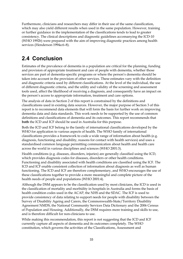Furthermore, clinicians and researchers may differ in their use of the same classification, which may also yield different results when used in the same population. However, training or further guidance in the implementation of the classifications tends to lead to greater consistency. The clinical descriptions and diagnostic guidelines accomanying the ICD-10 (WHO 1992b) were prepared with the aim of improving diagnostic practices among health services (Henderson 1994a:6–8).

# **2.4 Conclusion**

Estimates of the prevalence of dementia in a population are critical for the planning, funding and provision of appropriate treatment and care of people with dementia, whether those services are part of dementia-specific programs or where the person's dementia should be taken into account in the provision of other services. These estimates vary with the definition and diagnostic criteria used by different classifications. At the level of the individual, the use of different diagnostic criteria, and the utility and validity of the screening and assessment tools used, affect the likelihood of receiving a diagnosis, and consequently have an impact on the person's access to appropriate information, treatment and care options.

The analysis of data in Section 2 of this report is constrained by the definitions and classifications used in existing data sources. However, the major purpose of Section 3 of this report is to recommend data elements that will form the basis for further work on improving dementia data and data standards. This work needs to be supported by the use of common definitions and classifications of dementia and its outcomes. This report recommends that **both** the ICD and ICF should be used in Australia for this purpose.

Both the ICD and ICF belong to the family of international classifications developed by the WHO for application to various aspects of health. The WHO family of international classifications provides a framework to code a wide range of information about health (e.g. diagnosis, functioning and disability, reasons for contact with health services) and uses a standardised common language permitting communication about health and health care across the world in various disciplines and sciences (WHO 2001:3).

Health conditions (e.g. diseases, disorders, injuries) are generally classified using the ICD, which provides diagnosis codes for diseases, disorders or other health conditions. Functioning and disability associated with health conditions are classified using the ICF. The ICD and ICF enable consistent collection of information about diagnosis as well as human functioning. The ICD and ICF are therefore complementary, and WHO encourages the use of these classifications together to provide a more meaningful and complete picture of the health needs of people and populations (WHO 2001:4).

Although the DSM appears to be the classification used by most clinicians, the ICD is used in the classification of mortality and morbidity in hospitals in Australia and forms the basis of health condition codes used in the ACAP, the NHS and the SDAC. The ICF is used to provide consistency of data relating to support needs for people with disability between the Survey of Disability Ageing and Carers, the Commonwealth-State/Territory Disability Agreement NMDS, the National Community Services Data Dictionary and the 2006 Census of Population and Housing. Additionally, the DSM requires more training and skills to use, and is therefore difficult for non-clinicians to use.

While making this recommendation, this report is not suggesting that the ICD and ICF currently capture all aspects of dementia and its outcomes completely. The WHO constitution, which governs the activities of the Classifications, Assessment and